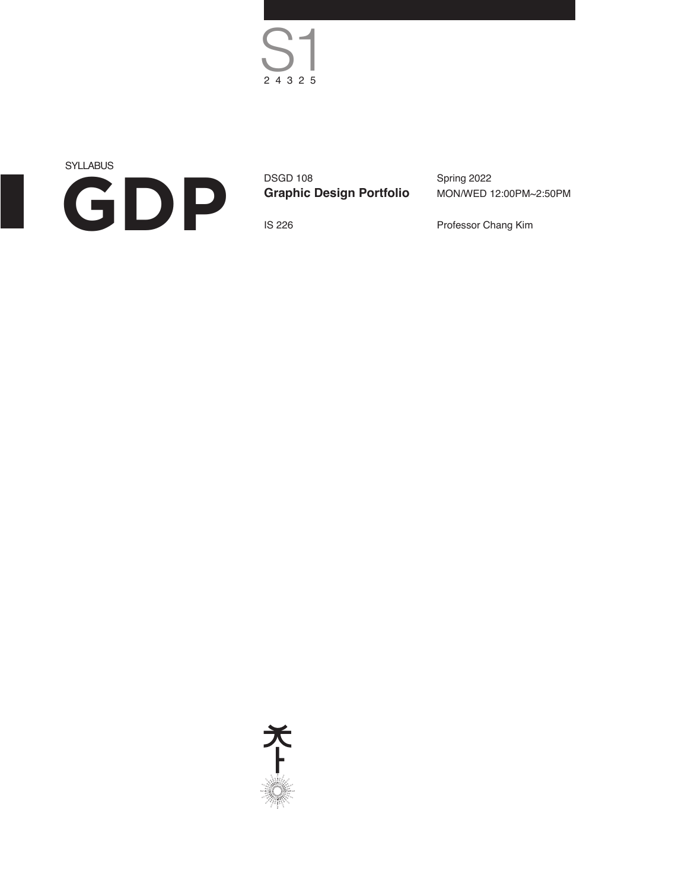$S<sub>24325</sub>$ 

**SYLLABUS GDP**

DSGD 108 **Graphic Design Portfolio** Spring 2022 MON/WED 12:00PM~2:50PM

IS 226

Professor Chang Kim

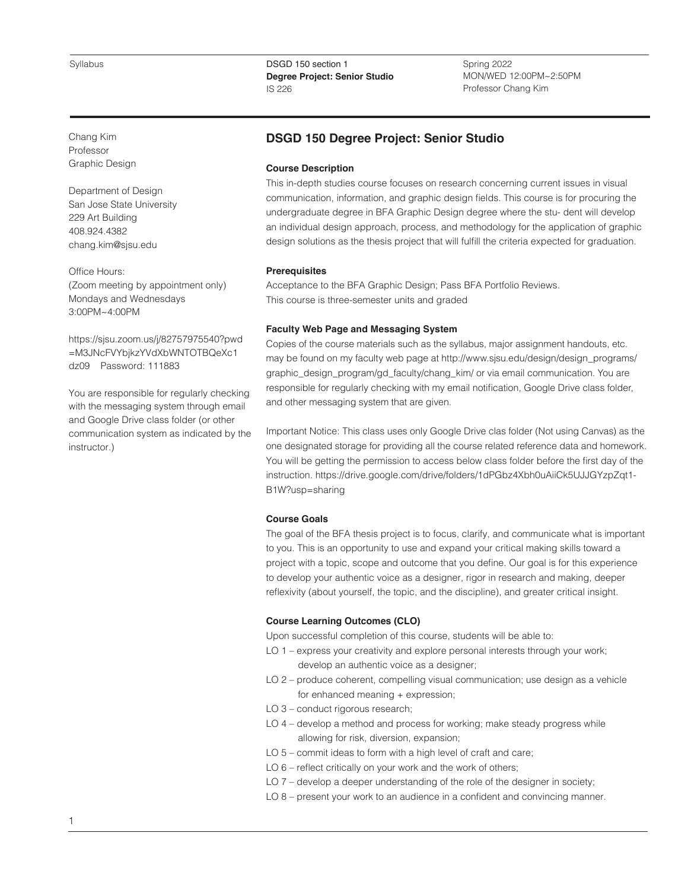Spring 2022 MON/WED 12:00PM~2:50PM Professor Chang Kim

Chang Kim Professor Graphic Design

Department of Design San Jose State University 229 Art Building 408.924.4382 chang.kim@sjsu.edu

Office Hours: (Zoom meeting by appointment only) Mondays and Wednesdays 3:00PM~4:00PM

https://sjsu.zoom.us/j/82757975540?pwd =M3JNcFVYbjkzYVdXbWNTOTBQeXc1 dz09 Password: 111883

You are responsible for regularly checking with the messaging system through email and Google Drive class folder (or other communication system as indicated by the instructor.)

# **DSGD 150 Degree Project: Senior Studio**

### **Course Description**

This in-depth studies course focuses on research concerning current issues in visual communication, information, and graphic design fields. This course is for procuring the undergraduate degree in BFA Graphic Design degree where the stu- dent will develop an individual design approach, process, and methodology for the application of graphic design solutions as the thesis project that will fulfill the criteria expected for graduation.

# **Prerequisites**

Acceptance to the BFA Graphic Design; Pass BFA Portfolio Reviews. This course is three-semester units and graded

# **Faculty Web Page and Messaging System**

Copies of the course materials such as the syllabus, major assignment handouts, etc. may be found on my faculty web page at http://www.sjsu.edu/design/design\_programs/ graphic\_design\_program/gd\_faculty/chang\_kim/ or via email communication. You are responsible for regularly checking with my email notification, Google Drive class folder, and other messaging system that are given.

Important Notice: This class uses only Google Drive clas folder (Not using Canvas) as the one designated storage for providing all the course related reference data and homework. You will be getting the permission to access below class folder before the first day of the instruction. https://drive.google.com/drive/folders/1dPGbz4Xbh0uAiiCk5UJJGYzpZqt1- B1W?usp=sharing

# **Course Goals**

The goal of the BFA thesis project is to focus, clarify, and communicate what is important to you. This is an opportunity to use and expand your critical making skills toward a project with a topic, scope and outcome that you define. Our goal is for this experience to develop your authentic voice as a designer, rigor in research and making, deeper reflexivity (about yourself, the topic, and the discipline), and greater critical insight.

### **Course Learning Outcomes (CLO)**

Upon successful completion of this course, students will be able to:

- LO 1 express your creativity and explore personal interests through your work; develop an authentic voice as a designer;
- LO 2 produce coherent, compelling visual communication; use design as a vehicle for enhanced meaning + expression;
- LO 3 conduct rigorous research;
- LO 4 develop a method and process for working; make steady progress while allowing for risk, diversion, expansion;
- LO 5 commit ideas to form with a high level of craft and care;
- LO 6 reflect critically on your work and the work of others;
- LO 7 develop a deeper understanding of the role of the designer in society;
- LO 8 present your work to an audience in a confident and convincing manner.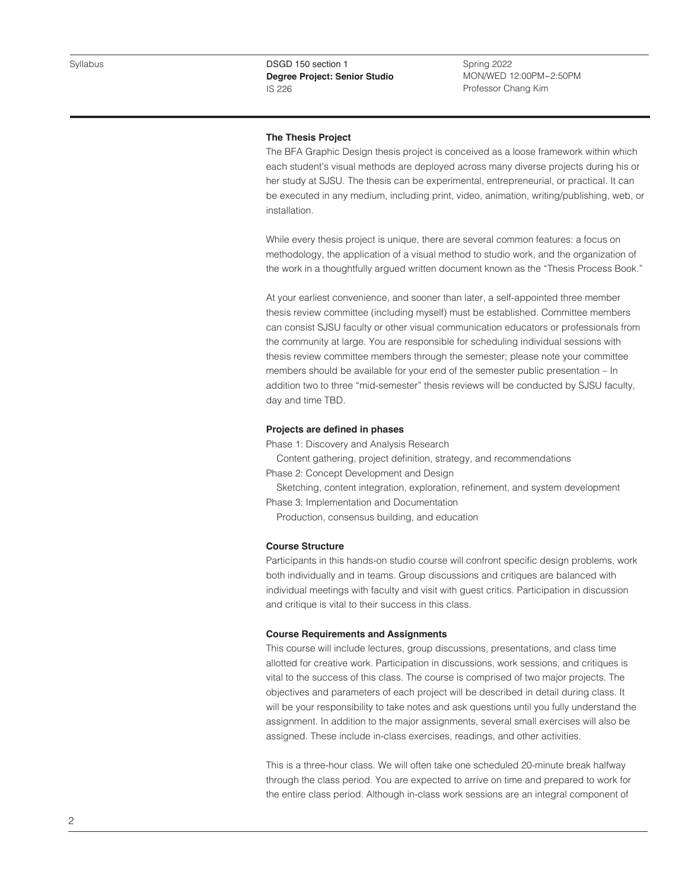Spring 2022 MON/WED 12:00PM~2:50PM Professor Chang Kim

#### **The Thesis Project**

The BFA Graphic Design thesis project is conceived as a loose framework within which each student's visual methods are deployed across many diverse projects during his or her study at SJSU. The thesis can be experimental, entrepreneurial, or practical. It can be executed in any medium, including print, video, animation, writing/publishing, web, or installation.

While every thesis project is unique, there are several common features: a focus on methodology, the application of a visual method to studio work, and the organization of the work in a thoughtfully argued written document known as the "Thesis Process Book."

At your earliest convenience, and sooner than later, a self-appointed three member thesis review committee (including myself) must be established. Committee members can consist SJSU faculty or other visual communication educators or professionals from the community at large. You are responsible for scheduling individual sessions with thesis review committee members through the semester; please note your committee members should be available for your end of the semester public presentation – In addition two to three "mid-semester" thesis reviews will be conducted by SJSU faculty, day and time TBD.

#### **Projects are defined in phases**

Phase 1: Discovery and Analysis Research

 Content gathering, project definition, strategy, and recommendations Phase 2: Concept Development and Design

 Sketching, content integration, exploration, refinement, and system development Phase 3: Implementation and Documentation

Production, consensus building, and education

#### **Course Structure**

Participants in this hands-on studio course will confront specific design problems, work both individually and in teams. Group discussions and critiques are balanced with individual meetings with faculty and visit with guest critics. Participation in discussion and critique is vital to their success in this class.

#### **Course Requirements and Assignments**

This course will include lectures, group discussions, presentations, and class time allotted for creative work. Participation in discussions, work sessions, and critiques is vital to the success of this class. The course is comprised of two major projects. The objectives and parameters of each project will be described in detail during class. It will be your responsibility to take notes and ask questions until you fully understand the assignment. In addition to the major assignments, several small exercises will also be assigned. These include in-class exercises, readings, and other activities.

This is a three-hour class. We will often take one scheduled 20-minute break halfway through the class period. You are expected to arrive on time and prepared to work for the entire class period. Although in-class work sessions are an integral component of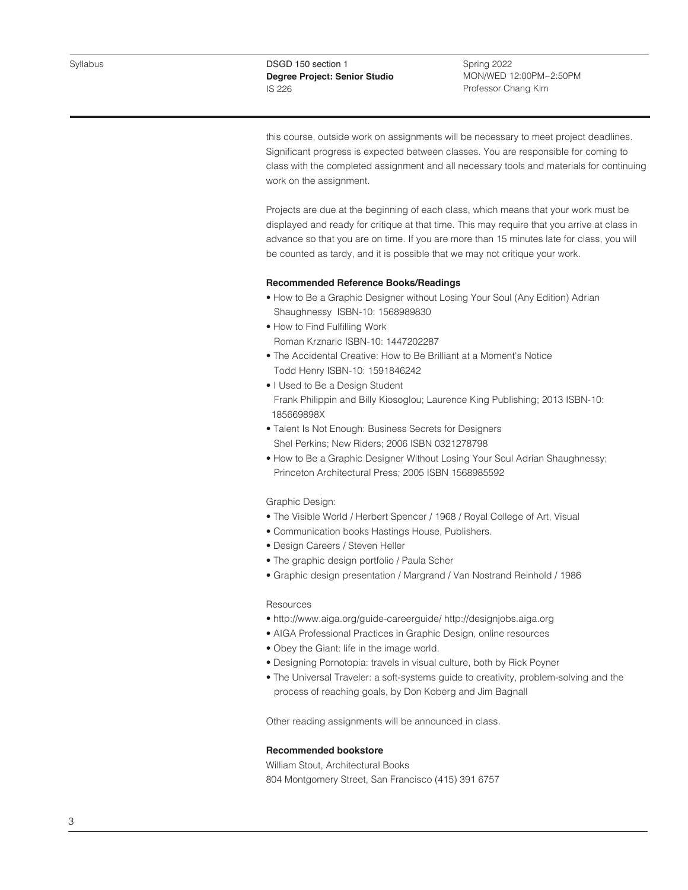Spring 2022 MON/WED 12:00PM~2:50PM Professor Chang Kim

this course, outside work on assignments will be necessary to meet project deadlines. Significant progress is expected between classes. You are responsible for coming to class with the completed assignment and all necessary tools and materials for continuing work on the assignment.

Projects are due at the beginning of each class, which means that your work must be displayed and ready for critique at that time. This may require that you arrive at class in advance so that you are on time. If you are more than 15 minutes late for class, you will be counted as tardy, and it is possible that we may not critique your work.

# **Recommended Reference Books/Readings**

- How to Be a Graphic Designer without Losing Your Soul (Any Edition) Adrian Shaughnessy ISBN-10: 1568989830
- How to Find Fulfilling Work
	- Roman Krznaric ISBN-10: 1447202287
- The Accidental Creative: How to Be Brilliant at a Moment's Notice Todd Henry ISBN-10: 1591846242
- I Used to Be a Design Student Frank Philippin and Billy Kiosoglou; Laurence King Publishing; 2013 ISBN-10: 185669898X
- Talent Is Not Enough: Business Secrets for Designers Shel Perkins; New Riders; 2006 ISBN 0321278798
- How to Be a Graphic Designer Without Losing Your Soul Adrian Shaughnessy; Princeton Architectural Press; 2005 ISBN 1568985592

### Graphic Design:

- The Visible World / Herbert Spencer / 1968 / Royal College of Art, Visual
- Communication books Hastings House, Publishers.
- Design Careers / Steven Heller
- The graphic design portfolio / Paula Scher
- Graphic design presentation / Margrand / Van Nostrand Reinhold / 1986

#### Resources

- http://www.aiga.org/guide-careerguide/ http://designjobs.aiga.org
- AIGA Professional Practices in Graphic Design, online resources
- Obey the Giant: life in the image world.
- Designing Pornotopia: travels in visual culture, both by Rick Poyner
- The Universal Traveler: a soft-systems guide to creativity, problem-solving and the process of reaching goals, by Don Koberg and Jim Bagnall

Other reading assignments will be announced in class.

### **Recommended bookstore**

William Stout, Architectural Books 804 Montgomery Street, San Francisco (415) 391 6757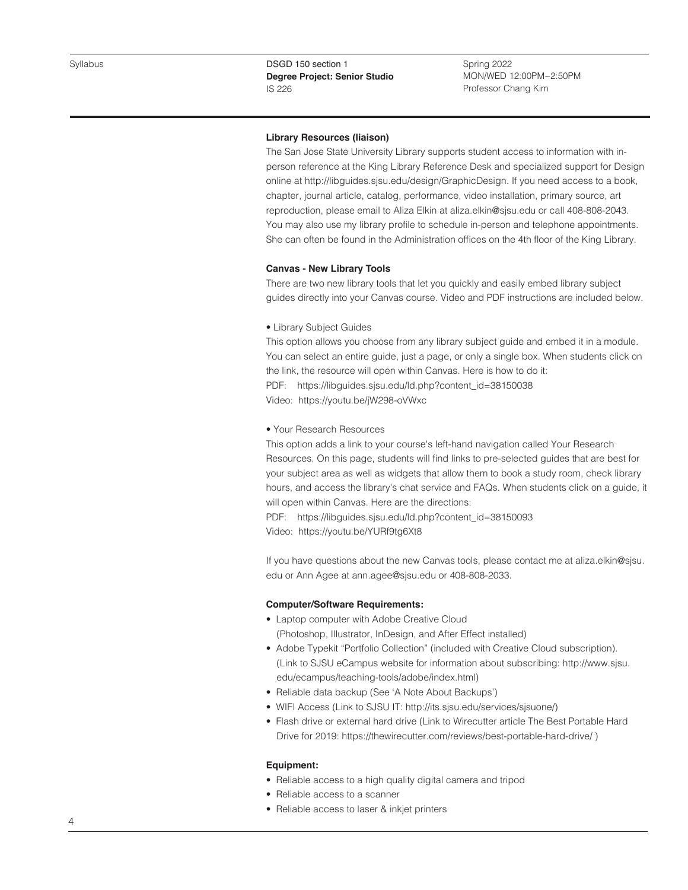Spring 2022 MON/WED 12:00PM~2:50PM Professor Chang Kim

# **Library Resources (liaison)**

The San Jose State University Library supports student access to information with inperson reference at the King Library Reference Desk and specialized support for Design online at http://libguides.sjsu.edu/design/GraphicDesign. If you need access to a book, chapter, journal article, catalog, performance, video installation, primary source, art reproduction, please email to Aliza Elkin at aliza.elkin@sjsu.edu or call 408-808-2043. You may also use my library profile to schedule in-person and telephone appointments. She can often be found in the Administration offices on the 4th floor of the King Library.

#### **Canvas - New Library Tools**

There are two new library tools that let you quickly and easily embed library subject guides directly into your Canvas course. Video and PDF instructions are included below.

• Library Subject Guides

This option allows you choose from any library subject guide and embed it in a module. You can select an entire guide, just a page, or only a single box. When students click on the link, the resource will open within Canvas. Here is how to do it: PDF: https://libguides.sjsu.edu/ld.php?content\_id=38150038

Video: https://youtu.be/jW298-oVWxc

#### • Your Research Resources

This option adds a link to your course's left-hand navigation called Your Research Resources. On this page, students will find links to pre-selected guides that are best for your subject area as well as widgets that allow them to book a study room, check library hours, and access the library's chat service and FAQs. When students click on a guide, it will open within Canvas. Here are the directions:

PDF: https://libguides.sjsu.edu/ld.php?content\_id=38150093 Video: https://youtu.be/YURf9tg6Xt8

If you have questions about the new Canvas tools, please contact me at aliza.elkin@sjsu. edu or Ann Agee at ann.agee@sjsu.edu or 408-808-2033.

### **Computer/Software Requirements:**

- Laptop computer with Adobe Creative Cloud (Photoshop, Illustrator, InDesign, and After Effect installed)
- Adobe Typekit "Portfolio Collection" (included with Creative Cloud subscription). (Link to SJSU eCampus website for information about subscribing: http://www.sjsu. edu/ecampus/teaching-tools/adobe/index.html)
- Reliable data backup (See 'A Note About Backups')
- WIFI Access (Link to SJSU IT: http://its.sjsu.edu/services/sjsuone/)
- Flash drive or external hard drive (Link to Wirecutter article The Best Portable Hard Drive for 2019: https://thewirecutter.com/reviews/best-portable-hard-drive/ )

### **Equipment:**

- Reliable access to a high quality digital camera and tripod
- Reliable access to a scanner
- Reliable access to laser & inkjet printers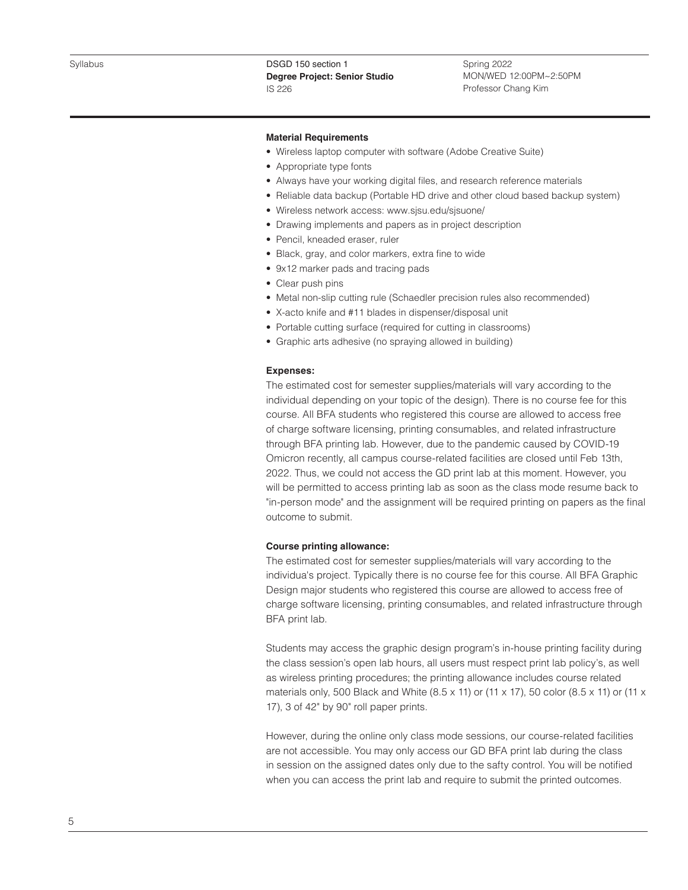Spring 2022 MON/WED 12:00PM~2:50PM Professor Chang Kim

### **Material Requirements**

- Wireless laptop computer with software (Adobe Creative Suite)
- Appropriate type fonts
- Always have your working digital files, and research reference materials
- Reliable data backup (Portable HD drive and other cloud based backup system)
- Wireless network access: www.sjsu.edu/sjsuone/
- Drawing implements and papers as in project description
- Pencil, kneaded eraser, ruler
- Black, gray, and color markers, extra fine to wide
- 9x12 marker pads and tracing pads
- Clear push pins
- Metal non-slip cutting rule (Schaedler precision rules also recommended)
- X-acto knife and #11 blades in dispenser/disposal unit
- Portable cutting surface (required for cutting in classrooms)
- Graphic arts adhesive (no spraying allowed in building)

# **Expenses:**

The estimated cost for semester supplies/materials will vary according to the individual depending on your topic of the design). There is no course fee for this course. All BFA students who registered this course are allowed to access free of charge software licensing, printing consumables, and related infrastructure through BFA printing lab. However, due to the pandemic caused by COVID-19 Omicron recently, all campus course-related facilities are closed until Feb 13th, 2022. Thus, we could not access the GD print lab at this moment. However, you will be permitted to access printing lab as soon as the class mode resume back to "in-person mode" and the assignment will be required printing on papers as the final outcome to submit.

# **Course printing allowance:**

The estimated cost for semester supplies/materials will vary according to the individua's project. Typically there is no course fee for this course. All BFA Graphic Design major students who registered this course are allowed to access free of charge software licensing, printing consumables, and related infrastructure through BFA print lab.

Students may access the graphic design program's in-house printing facility during the class session's open lab hours, all users must respect print lab policy's, as well as wireless printing procedures; the printing allowance includes course related materials only, 500 Black and White (8.5 x 11) or (11 x 17), 50 color (8.5 x 11) or (11 x 17), 3 of 42" by 90" roll paper prints.

However, during the online only class mode sessions, our course-related facilities are not accessible. You may only access our GD BFA print lab during the class in session on the assigned dates only due to the safty control. You will be notified when you can access the print lab and require to submit the printed outcomes.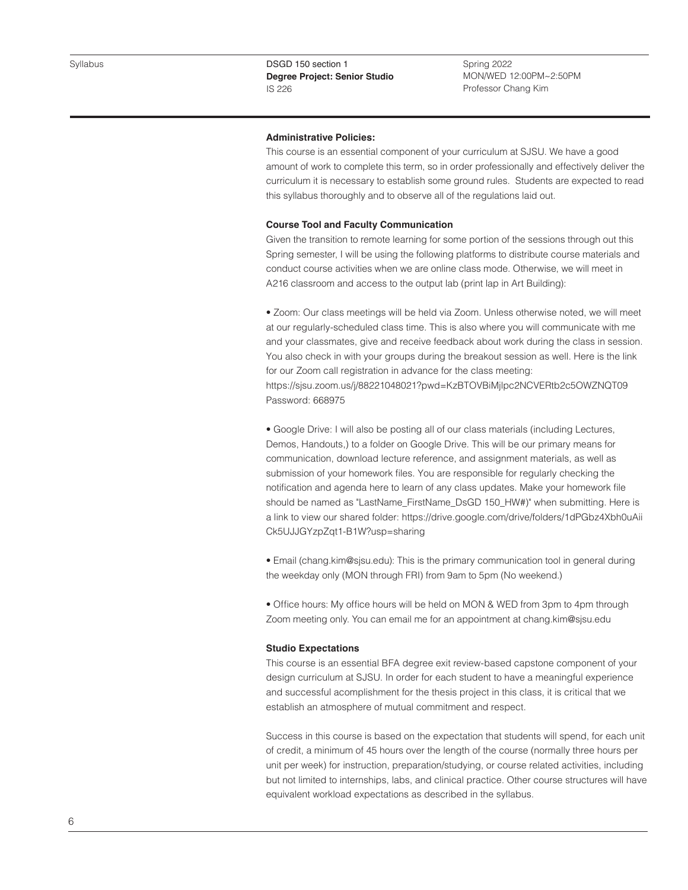Spring 2022 MON/WED 12:00PM~2:50PM Professor Chang Kim

### **Administrative Policies:**

This course is an essential component of your curriculum at SJSU. We have a good amount of work to complete this term, so in order professionally and effectively deliver the curriculum it is necessary to establish some ground rules. Students are expected to read this syllabus thoroughly and to observe all of the regulations laid out.

#### **Course Tool and Faculty Communication**

Given the transition to remote learning for some portion of the sessions through out this Spring semester, I will be using the following platforms to distribute course materials and conduct course activities when we are online class mode. Otherwise, we will meet in A216 classroom and access to the output lab (print lap in Art Building):

• Zoom: Our class meetings will be held via Zoom. Unless otherwise noted, we will meet at our regularly-scheduled class time. This is also where you will communicate with me and your classmates, give and receive feedback about work during the class in session. You also check in with your groups during the breakout session as well. Here is the link for our Zoom call registration in advance for the class meeting:

https://sjsu.zoom.us/j/88221048021?pwd=KzBTOVBiMjlpc2NCVERtb2c5OWZNQT09 Password: 668975

• Google Drive: I will also be posting all of our class materials (including Lectures, Demos, Handouts,) to a folder on Google Drive. This will be our primary means for communication, download lecture reference, and assignment materials, as well as submission of your homework files. You are responsible for regularly checking the notification and agenda here to learn of any class updates. Make your homework file should be named as "LastName\_FirstName\_DsGD 150\_HW#)" when submitting. Here is a link to view our shared folder: https://drive.google.com/drive/folders/1dPGbz4Xbh0uAii Ck5UJJGYzpZqt1-B1W?usp=sharing

• Email (chang.kim@sjsu.edu): This is the primary communication tool in general during the weekday only (MON through FRI) from 9am to 5pm (No weekend.)

• Office hours: My office hours will be held on MON & WED from 3pm to 4pm through Zoom meeting only. You can email me for an appointment at chang.kim@sjsu.edu

#### **Studio Expectations**

This course is an essential BFA degree exit review-based capstone component of your design curriculum at SJSU. In order for each student to have a meaningful experience and successful acomplishment for the thesis project in this class, it is critical that we establish an atmosphere of mutual commitment and respect.

Success in this course is based on the expectation that students will spend, for each unit of credit, a minimum of 45 hours over the length of the course (normally three hours per unit per week) for instruction, preparation/studying, or course related activities, including but not limited to internships, labs, and clinical practice. Other course structures will have equivalent workload expectations as described in the syllabus.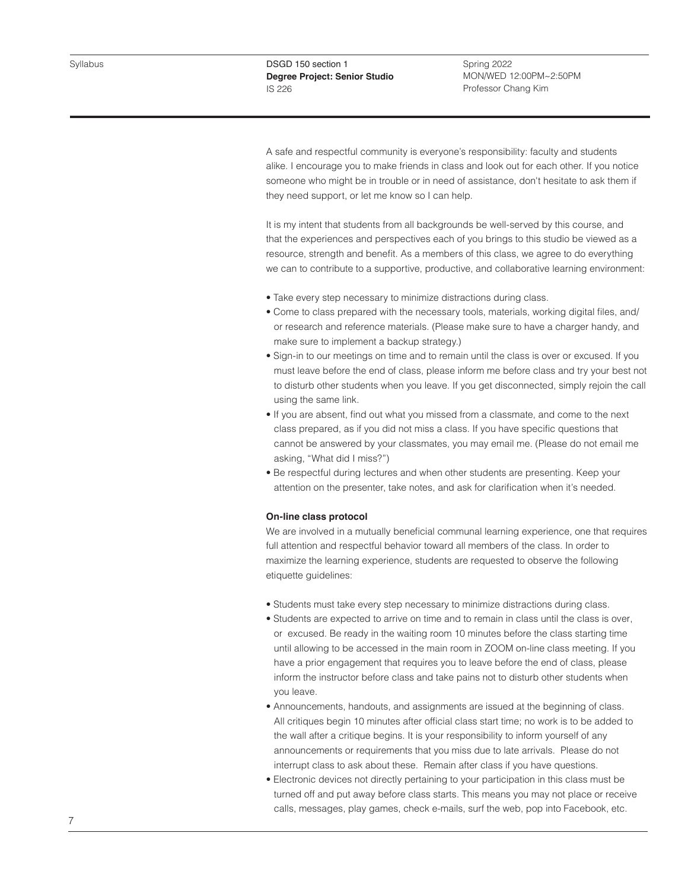Spring 2022 MON/WED 12:00PM~2:50PM Professor Chang Kim

A safe and respectful community is everyone's responsibility: faculty and students alike. I encourage you to make friends in class and look out for each other. If you notice someone who might be in trouble or in need of assistance, don't hesitate to ask them if they need support, or let me know so I can help.

It is my intent that students from all backgrounds be well-served by this course, and that the experiences and perspectives each of you brings to this studio be viewed as a resource, strength and benefit. As a members of this class, we agree to do everything we can to contribute to a supportive, productive, and collaborative learning environment:

- Take every step necessary to minimize distractions during class.
- Come to class prepared with the necessary tools, materials, working digital files, and/ or research and reference materials. (Please make sure to have a charger handy, and make sure to implement a backup strategy.)
- Sign-in to our meetings on time and to remain until the class is over or excused. If you must leave before the end of class, please inform me before class and try your best not to disturb other students when you leave. If you get disconnected, simply rejoin the call using the same link.
- If you are absent, find out what you missed from a classmate, and come to the next class prepared, as if you did not miss a class. If you have specific questions that cannot be answered by your classmates, you may email me. (Please do not email me asking, "What did I miss?")
- Be respectful during lectures and when other students are presenting. Keep your attention on the presenter, take notes, and ask for clarification when it's needed.

### **On-line class protocol**

We are involved in a mutually beneficial communal learning experience, one that requires full attention and respectful behavior toward all members of the class. In order to maximize the learning experience, students are requested to observe the following etiquette guidelines:

- Students must take every step necessary to minimize distractions during class.
- Students are expected to arrive on time and to remain in class until the class is over, or excused. Be ready in the waiting room 10 minutes before the class starting time until allowing to be accessed in the main room in ZOOM on-line class meeting. If you have a prior engagement that requires you to leave before the end of class, please inform the instructor before class and take pains not to disturb other students when you leave.
- Announcements, handouts, and assignments are issued at the beginning of class. All critiques begin 10 minutes after official class start time; no work is to be added to the wall after a critique begins. It is your responsibility to inform yourself of any announcements or requirements that you miss due to late arrivals. Please do not interrupt class to ask about these. Remain after class if you have questions.
- Electronic devices not directly pertaining to your participation in this class must be turned off and put away before class starts. This means you may not place or receive calls, messages, play games, check e-mails, surf the web, pop into Facebook, etc.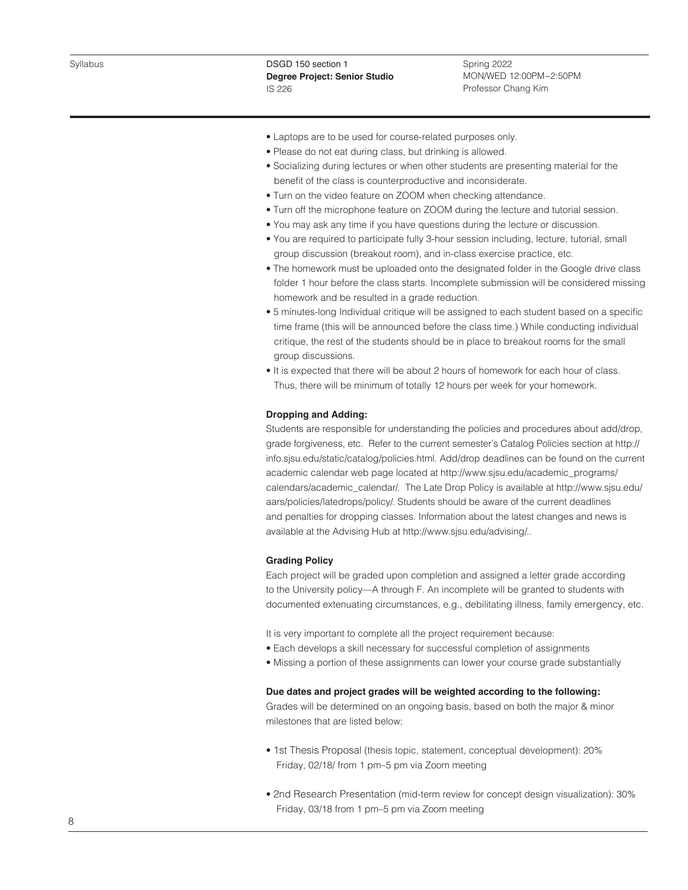Spring 2022 MON/WED 12:00PM~2:50PM Professor Chang Kim

- Laptops are to be used for course-related purposes only.
- Please do not eat during class, but drinking is allowed.
- Socializing during lectures or when other students are presenting material for the benefit of the class is counterproductive and inconsiderate.
- Turn on the video feature on ZOOM when checking attendance.
- Turn off the microphone feature on ZOOM during the lecture and tutorial session.
- You may ask any time if you have questions during the lecture or discussion.
- You are required to participate fully 3-hour session including, lecture, tutorial, small group discussion (breakout room), and in-class exercise practice, etc.
- The homework must be uploaded onto the designated folder in the Google drive class folder 1 hour before the class starts. Incomplete submission will be considered missing homework and be resulted in a grade reduction.
- 5 minutes-long Individual critique will be assigned to each student based on a specific time frame (this will be announced before the class time.) While conducting individual critique, the rest of the students should be in place to breakout rooms for the small group discussions.
- It is expected that there will be about 2 hours of homework for each hour of class. Thus, there will be minimum of totally 12 hours per week for your homework.

#### **Dropping and Adding:**

Students are responsible for understanding the policies and procedures about add/drop, grade forgiveness, etc. Refer to the current semester's Catalog Policies section at http:// info.sjsu.edu/static/catalog/policies.html. Add/drop deadlines can be found on the current academic calendar web page located at http://www.sjsu.edu/academic\_programs/ calendars/academic\_calendar/. The Late Drop Policy is available at http://www.sjsu.edu/ aars/policies/latedrops/policy/. Students should be aware of the current deadlines and penalties for dropping classes. Information about the latest changes and news is available at the Advising Hub at http://www.sjsu.edu/advising/..

# **Grading Policy**

Each project will be graded upon completion and assigned a letter grade according to the University policy—A through F. An incomplete will be granted to students with documented extenuating circumstances, e.g., debilitating illness, family emergency, etc.

It is very important to complete all the project requirement because:

- Each develops a skill necessary for successful completion of assignments
- Missing a portion of these assignments can lower your course grade substantially

# **Due dates and project grades will be weighted according to the following:**

Grades will be determined on an ongoing basis, based on both the major & minor milestones that are listed below;

- 1st Thesis Proposal (thesis topic, statement, conceptual development): 20% Friday, 02/18/ from 1 pm–5 pm via Zoom meeting
- 2nd Research Presentation (mid-term review for concept design visualization): 30% Friday, 03/18 from 1 pm–5 pm via Zoom meeting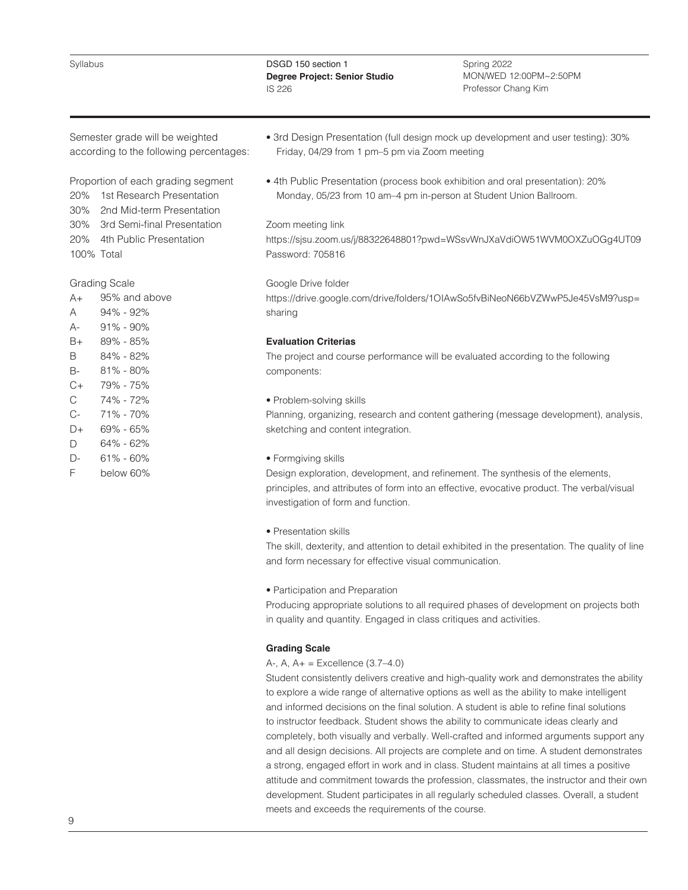Syllabus

DSGD 150 section 1 **Degree Project: Senior Studio**  IS 226

Spring 2022 MON/WED 12:00PM~2:50PM Professor Chang Kim

Semester grade will be weighted according to the following percentages:

Proportion of each grading segment

20% 1st Research Presentation

30% 2nd Mid-term Presentation

30% 3rd Semi-final Presentation

20% 4th Public Presentation

100% Total

# Grading Scale

 $A+$ 95% and above

- A 94% - 92%
- $\Delta$ -91% - 90%
- $B+$ 89% - 85%
- B 84% - 82%
- B-81% - 80%
- $C+$ 79% - 75%
- C  $C<sub>-</sub>$ 74% - 72%
- 71% 70% 69% - 65%
- $D+$ D 64% - 62%
- $D-$ 61% - 60%
- F below 60%
- 3rd Design Presentation (full design mock up development and user testing): 30% Friday, 04/29 from 1 pm–5 pm via Zoom meeting
- 4th Public Presentation (process book exhibition and oral presentation): 20% Monday, 05/23 from 10 am–4 pm in-person at Student Union Ballroom.

# Zoom meeting link

https://sjsu.zoom.us/j/88322648801?pwd=WSsvWnJXaVdiOW51WVM0OXZuOGg4UT09 Password: 705816

# Google Drive folder

https://drive.google.com/drive/folders/1OIAwSo5fvBiNeoN66bVZWwP5Je45VsM9?usp= sharing

# **Evaluation Criterias**

The project and course performance will be evaluated according to the following components:

# • Problem-solving skills

Planning, organizing, research and content gathering (message development), analysis, sketching and content integration.

• Formgiving skills

Design exploration, development, and refinement. The synthesis of the elements, principles, and attributes of form into an effective, evocative product. The verbal/visual investigation of form and function.

• Presentation skills

The skill, dexterity, and attention to detail exhibited in the presentation. The quality of line and form necessary for effective visual communication.

• Participation and Preparation

Producing appropriate solutions to all required phases of development on projects both in quality and quantity. Engaged in class critiques and activities.

# **Grading Scale**

# A-, A, A+ = Excellence (3.7–4.0)

Student consistently delivers creative and high-quality work and demonstrates the ability to explore a wide range of alternative options as well as the ability to make intelligent and informed decisions on the final solution. A student is able to refine final solutions to instructor feedback. Student shows the ability to communicate ideas clearly and completely, both visually and verbally. Well-crafted and informed arguments support any and all design decisions. All projects are complete and on time. A student demonstrates a strong, engaged effort in work and in class. Student maintains at all times a positive attitude and commitment towards the profession, classmates, the instructor and their own development. Student participates in all regularly scheduled classes. Overall, a student meets and exceeds the requirements of the course.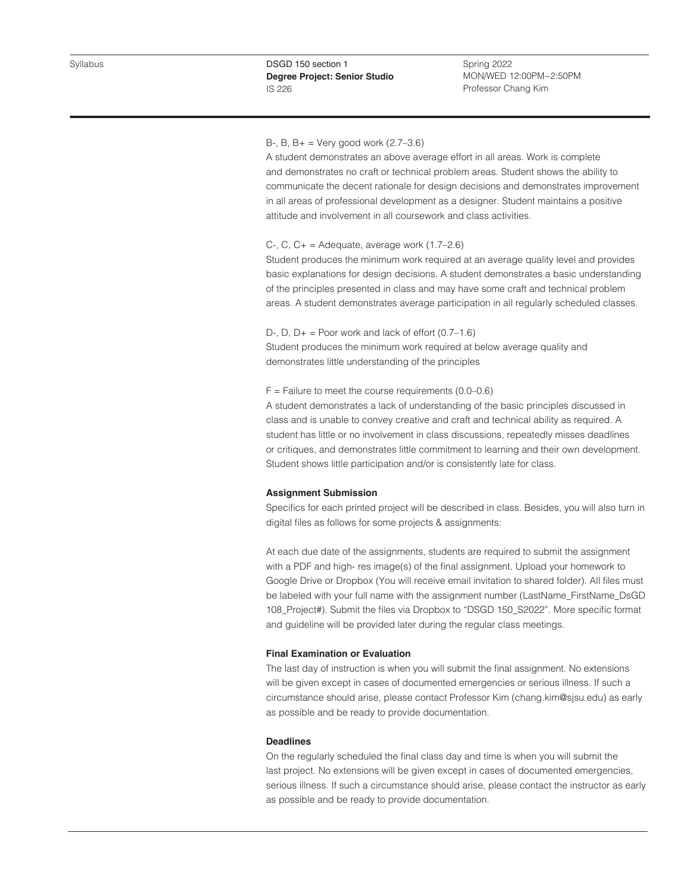Spring 2022 MON/WED 12:00PM~2:50PM Professor Chang Kim

# B-, B,  $B_{+}$  = Very good work (2.7–3.6)

A student demonstrates an above average effort in all areas. Work is complete and demonstrates no craft or technical problem areas. Student shows the ability to communicate the decent rationale for design decisions and demonstrates improvement in all areas of professional development as a designer. Student maintains a positive attitude and involvement in all coursework and class activities.

#### C-, C,  $C_+$  = Adequate, average work  $(1.7–2.6)$

Student produces the minimum work required at an average quality level and provides basic explanations for design decisions. A student demonstrates a basic understanding of the principles presented in class and may have some craft and technical problem areas. A student demonstrates average participation in all regularly scheduled classes.

D-, D,  $D_+$  = Poor work and lack of effort  $(0.7-1.6)$ Student produces the minimum work required at below average quality and demonstrates little understanding of the principles

#### $F =$  Failure to meet the course requirements (0.0–0.6)

A student demonstrates a lack of understanding of the basic principles discussed in class and is unable to convey creative and craft and technical ability as required. A student has little or no involvement in class discussions, repeatedly misses deadlines or critiques, and demonstrates little commitment to learning and their own development. Student shows little participation and/or is consistently late for class.

### **Assignment Submission**

Specifics for each printed project will be described in class. Besides, you will also turn in digital files as follows for some projects & assignments:

At each due date of the assignments, students are required to submit the assignment with a PDF and high- res image(s) of the final assignment. Upload your homework to Google Drive or Dropbox (You will receive email invitation to shared folder). All files must be labeled with your full name with the assignment number (LastName\_FirstName\_DsGD 108\_Project#). Submit the files via Dropbox to "DSGD 150\_S2022". More specific format and guideline will be provided later during the regular class meetings.

### **Final Examination or Evaluation**

The last day of instruction is when you will submit the final assignment. No extensions will be given except in cases of documented emergencies or serious illness. If such a circumstance should arise, please contact Professor Kim (chang.kim@sjsu.edu) as early as possible and be ready to provide documentation.

# **Deadlines**

On the regularly scheduled the final class day and time is when you will submit the last project. No extensions will be given except in cases of documented emergencies, serious illness. If such a circumstance should arise, please contact the instructor as early as possible and be ready to provide documentation.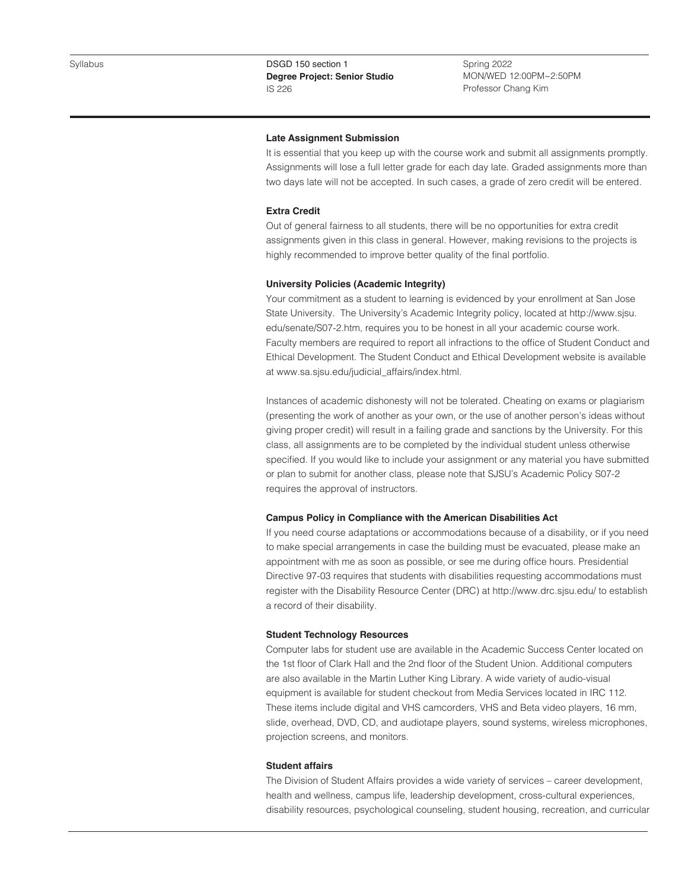Spring 2022 MON/WED 12:00PM~2:50PM Professor Chang Kim

#### **Late Assignment Submission**

It is essential that you keep up with the course work and submit all assignments promptly. Assignments will lose a full letter grade for each day late. Graded assignments more than two days late will not be accepted. In such cases, a grade of zero credit will be entered.

# **Extra Credit**

Out of general fairness to all students, there will be no opportunities for extra credit assignments given in this class in general. However, making revisions to the projects is highly recommended to improve better quality of the final portfolio.

# **University Policies (Academic Integrity)**

Your commitment as a student to learning is evidenced by your enrollment at San Jose State University. The University's Academic Integrity policy, located at http://www.sjsu. edu/senate/S07-2.htm, requires you to be honest in all your academic course work. Faculty members are required to report all infractions to the office of Student Conduct and Ethical Development. The Student Conduct and Ethical Development website is available at www.sa.sjsu.edu/judicial\_affairs/index.html.

Instances of academic dishonesty will not be tolerated. Cheating on exams or plagiarism (presenting the work of another as your own, or the use of another person's ideas without giving proper credit) will result in a failing grade and sanctions by the University. For this class, all assignments are to be completed by the individual student unless otherwise specified. If you would like to include your assignment or any material you have submitted or plan to submit for another class, please note that SJSU's Academic Policy S07-2 requires the approval of instructors.

### **Campus Policy in Compliance with the American Disabilities Act**

If you need course adaptations or accommodations because of a disability, or if you need to make special arrangements in case the building must be evacuated, please make an appointment with me as soon as possible, or see me during office hours. Presidential Directive 97-03 requires that students with disabilities requesting accommodations must register with the Disability Resource Center (DRC) at http://www.drc.sjsu.edu/ to establish a record of their disability.

#### **Student Technology Resources**

Computer labs for student use are available in the Academic Success Center located on the 1st floor of Clark Hall and the 2nd floor of the Student Union. Additional computers are also available in the Martin Luther King Library. A wide variety of audio-visual equipment is available for student checkout from Media Services located in IRC 112. These items include digital and VHS camcorders, VHS and Beta video players, 16 mm, slide, overhead, DVD, CD, and audiotape players, sound systems, wireless microphones, projection screens, and monitors.

# **Student affairs**

The Division of Student Affairs provides a wide variety of services – career development, health and wellness, campus life, leadership development, cross-cultural experiences, disability resources, psychological counseling, student housing, recreation, and curricular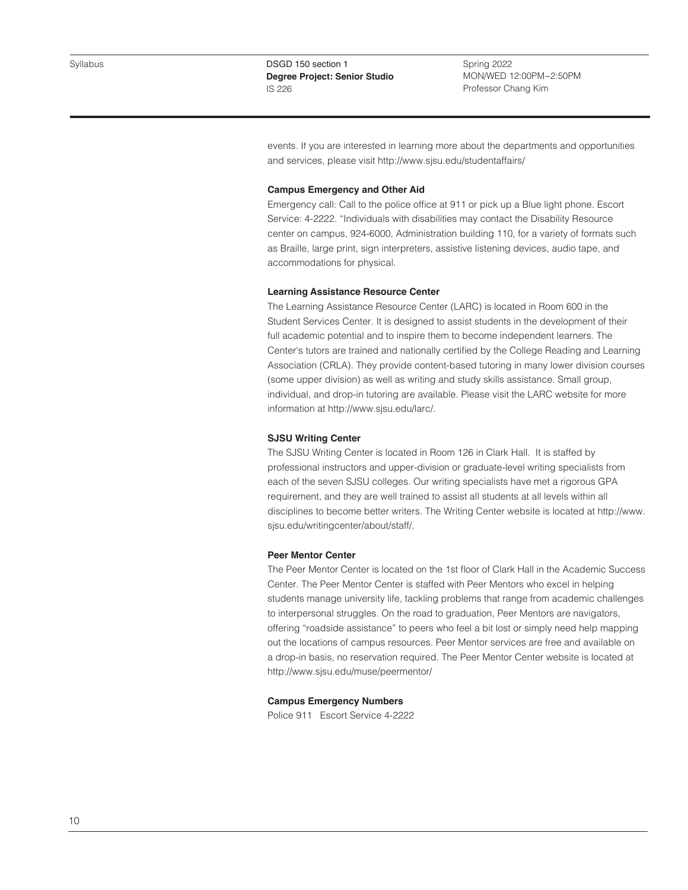Spring 2022 MON/WED 12:00PM~2:50PM Professor Chang Kim

events. If you are interested in learning more about the departments and opportunities and services, please visit http://www.sjsu.edu/studentaffairs/

#### **Campus Emergency and Other Aid**

Emergency call: Call to the police office at 911 or pick up a Blue light phone. Escort Service: 4-2222. "Individuals with disabilities may contact the Disability Resource center on campus, 924-6000, Administration building 110, for a variety of formats such as Braille, large print, sign interpreters, assistive listening devices, audio tape, and accommodations for physical.

#### **Learning Assistance Resource Center**

The Learning Assistance Resource Center (LARC) is located in Room 600 in the Student Services Center. It is designed to assist students in the development of their full academic potential and to inspire them to become independent learners. The Center's tutors are trained and nationally certified by the College Reading and Learning Association (CRLA). They provide content-based tutoring in many lower division courses (some upper division) as well as writing and study skills assistance. Small group, individual, and drop-in tutoring are available. Please visit the LARC website for more information at http://www.sjsu.edu/larc/.

### **SJSU Writing Center**

The SJSU Writing Center is located in Room 126 in Clark Hall. It is staffed by professional instructors and upper-division or graduate-level writing specialists from each of the seven SJSU colleges. Our writing specialists have met a rigorous GPA requirement, and they are well trained to assist all students at all levels within all disciplines to become better writers. The Writing Center website is located at http://www. sjsu.edu/writingcenter/about/staff/.

### **Peer Mentor Center**

The Peer Mentor Center is located on the 1st floor of Clark Hall in the Academic Success Center. The Peer Mentor Center is staffed with Peer Mentors who excel in helping students manage university life, tackling problems that range from academic challenges to interpersonal struggles. On the road to graduation, Peer Mentors are navigators, offering "roadside assistance" to peers who feel a bit lost or simply need help mapping out the locations of campus resources. Peer Mentor services are free and available on a drop-in basis, no reservation required. The Peer Mentor Center website is located at http://www.sjsu.edu/muse/peermentor/

#### **Campus Emergency Numbers**

Police 911 Escort Service 4-2222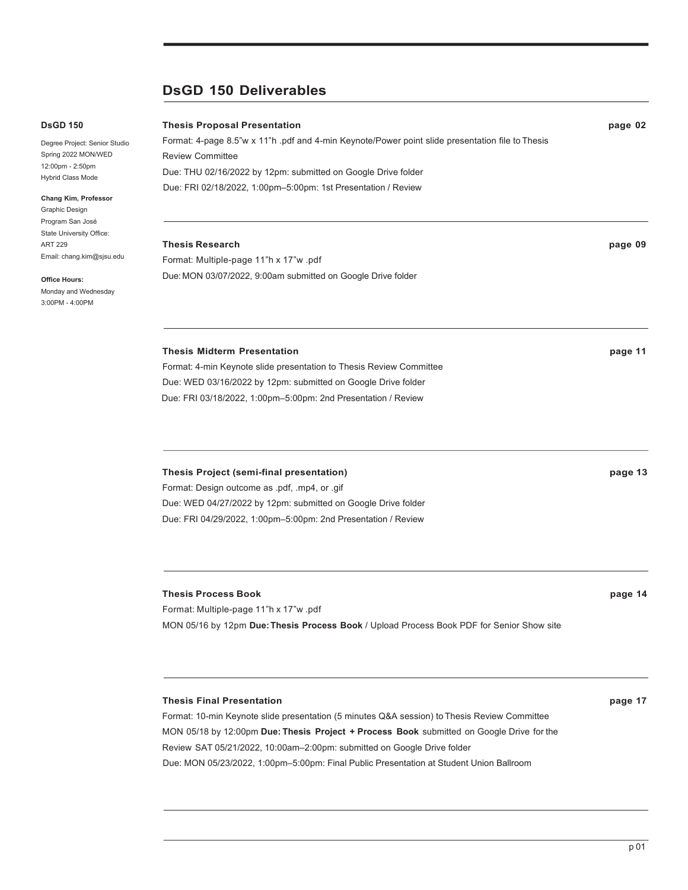# **DsGD 150 Deliverables**

### **DsGD 150**

Degree Project: Senior Studio Spring 2022 MON/WED 12:00pm - 2:50pm Hybrid Class Mode

**Chang Kim, Professor** Graphic Design

Program San José State University Office: ART 229 Email: chang.kim@sjsu.edu

**Office Hours:**

Monday and Wednesday 3:00PM - 4:00PM

**Thesis Proposal Presentation page 02** Format: 4-page 8.5"w x 11"h .pdf and 4-min Keynote/Power point slide presentation file to Thesis Review Committee Due: THU 02/16/2022 by 12pm: submitted on Google Drive folder Due: FRI 02/18/2022, 1:00pm–5:00pm: 1st Presentation / Review

# **Thesis Research page 09** Format: Multiple-page 11"h x 17"w .pdf Due: MON 03/07/2022, 9:00am submitted on Google Drive folder

# **Thesis Midterm Presentation page 11**

Format: 4-min Keynote slide presentation to Thesis Review Committee Due: WED 03/16/2022 by 12pm: submitted on Google Drive folder Due: FRI 03/18/2022, 1:00pm–5:00pm: 2nd Presentation / Review

# **Thesis Project (semi-final presentation) page 13**

Format: Design outcome as .pdf, .mp4, or .gif Due: WED 04/27/2022 by 12pm: submitted on Google Drive folder Due: FRI 04/29/2022, 1:00pm–5:00pm: 2nd Presentation / Review

# **Thesis Process Book page 14**

Format: Multiple-page 11"h x 17"w .pdf

Format: 10-min Keynote slide presentation (5 minutes Q&A session) to Thesis Review Committee MON 05/18 by 12:00pm **Due: Thesis Project + Process Book** submitted on Google Drive for the Review SAT 05/21/2022, 10:00am–2:00pm: submitted on Google Drive folder Due: MON 05/23/2022, 1:00pm–5:00pm: Final Public Presentation at Student Union Ballroom

MON 05/16 by 12pm **Due:Thesis Process Book** / Upload Process Book PDF for Senior Show site

**Thesis Final Presentation page 17**

p 01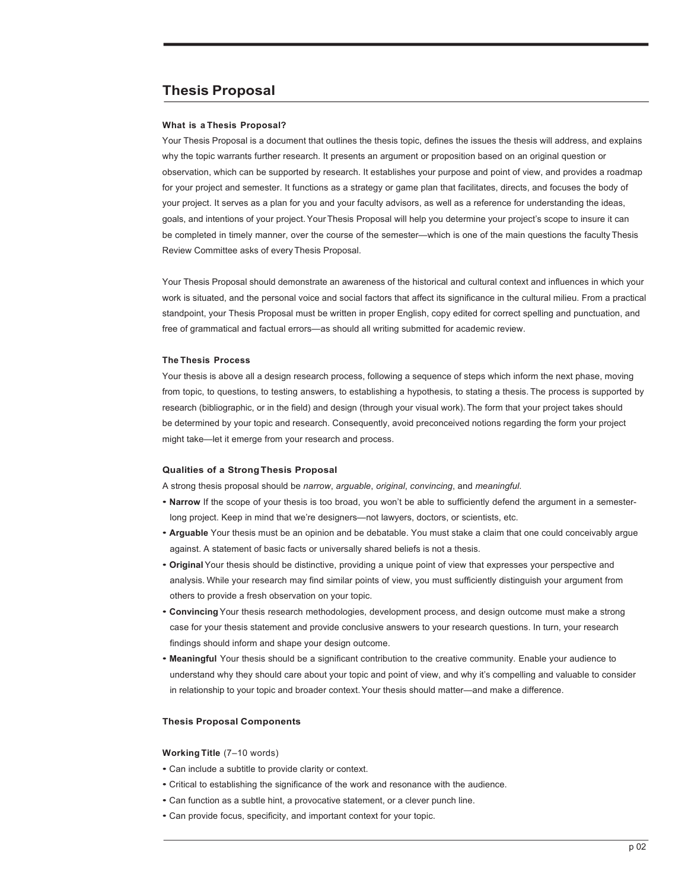# **Thesis Proposal**

#### **What is a Thesis Proposal?**

Your Thesis Proposal is a document that outlines the thesis topic, defines the issues the thesis will address, and explains why the topic warrants further research. It presents an argument or proposition based on an original question or observation, which can be supported by research. It establishes your purpose and point of view, and provides a roadmap for your project and semester. It functions as a strategy or game plan that facilitates, directs, and focuses the body of your project. It serves as a plan for you and your faculty advisors, as well as a reference for understanding the ideas, goals, and intentions of your project.Your Thesis Proposal will help you determine your project's scope to insure it can be completed in timely manner, over the course of the semester—which is one of the main questions the faculty Thesis Review Committee asks of every Thesis Proposal.

Your Thesis Proposal should demonstrate an awareness of the historical and cultural context and influences in which your work is situated, and the personal voice and social factors that affect its significance in the cultural milieu. From a practical standpoint, your Thesis Proposal must be written in proper English, copy edited for correct spelling and punctuation, and free of grammatical and factual errors—as should all writing submitted for academic review.

#### **The Thesis Process**

Your thesis is above all a design research process, following a sequence of steps which inform the next phase, moving from topic, to questions, to testing answers, to establishing a hypothesis, to stating a thesis. The process is supported by research (bibliographic, or in the field) and design (through your visual work). The form that your project takes should be determined by your topic and research. Consequently, avoid preconceived notions regarding the form your project might take—let it emerge from your research and process.

#### **Qualities of a StrongThesis Proposal**

A strong thesis proposal should be *narrow*, *arguable*, *original*, *convincing*, and *meaningful*.

- **Narrow** If the scope of your thesis is too broad, you won't be able to sufficiently defend the argument in a semesterlong project. Keep in mind that we're designers—not lawyers, doctors, or scientists, etc.
- **Arguable** Your thesis must be an opinion and be debatable. You must stake a claim that one could conceivably argue against. A statement of basic facts or universally shared beliefs is not a thesis.
- **Original** Your thesis should be distinctive, providing a unique point of view that expresses your perspective and analysis. While your research may find similar points of view, you must sufficiently distinguish your argument from others to provide a fresh observation on your topic.
- **Convincing** Your thesis research methodologies, development process, and design outcome must make a strong case for your thesis statement and provide conclusive answers to your research questions. In turn, your research findings should inform and shape your design outcome.
- **Meaningful** Your thesis should be a significant contribution to the creative community. Enable your audience to understand why they should care about your topic and point of view, and why it's compelling and valuable to consider in relationship to your topic and broader context.Your thesis should matter—and make a difference.

#### **Thesis Proposal Components**

#### **Working Title** (7–10 words)

- Can include a subtitle to provide clarity or context.
- Critical to establishing the significance of the work and resonance with the audience.
- Can function as a subtle hint, a provocative statement, or a clever punch line.
- Can provide focus, specificity, and important context for your topic.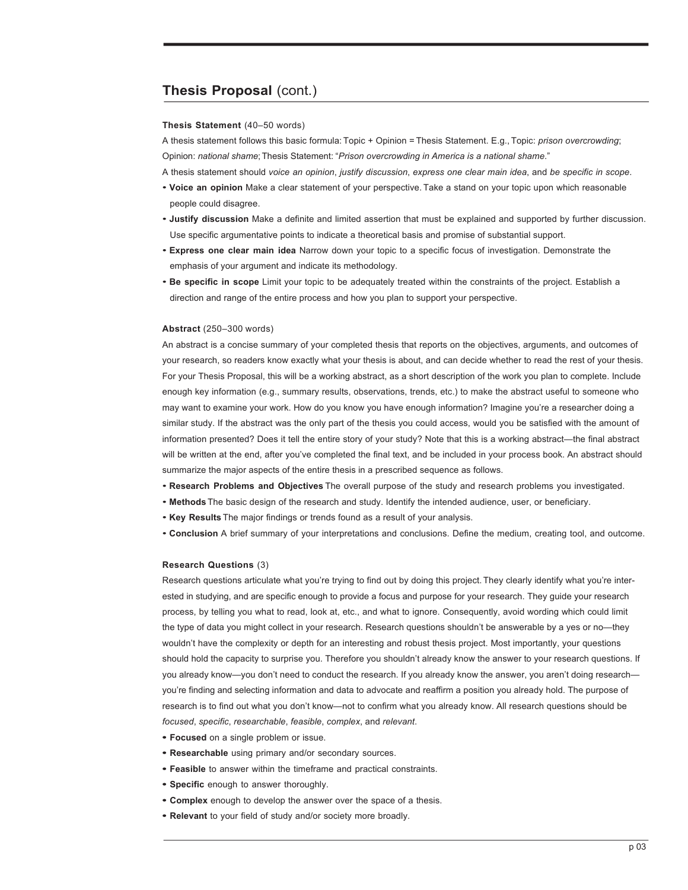# **Thesis Proposal** (cont.)

#### **Thesis Statement** (40–50 words)

A thesis statement follows this basic formula: Topic + Opinion = Thesis Statement. E.g., Topic: *prison overcrowding*; Opinion: *national shame*;Thesis Statement: "*Prison overcrowding in America is a national shame*."

A thesis statement should *voice an opinion*, *justify discussion*, *express one clear main idea*, and *be specific in scope*.

- **Voice an opinion** Make a clear statement of your perspective. Take a stand on your topic upon which reasonable people could disagree.
- **Justify discussion** Make a definite and limited assertion that must be explained and supported by further discussion. Use specific argumentative points to indicate a theoretical basis and promise of substantial support.
- **Express one clear main idea** Narrow down your topic to a specific focus of investigation. Demonstrate the emphasis of your argument and indicate its methodology.
- **Be specific in scope** Limit your topic to be adequately treated within the constraints of the project. Establish a direction and range of the entire process and how you plan to support your perspective.

#### **Abstract** (250–300 words)

An abstract is a concise summary of your completed thesis that reports on the objectives, arguments, and outcomes of your research, so readers know exactly what your thesis is about, and can decide whether to read the rest of your thesis. For your Thesis Proposal, this will be a working abstract, as a short description of the work you plan to complete. Include enough key information (e.g., summary results, observations, trends, etc.) to make the abstract useful to someone who may want to examine your work. How do you know you have enough information? Imagine you're a researcher doing a similar study. If the abstract was the only part of the thesis you could access, would you be satisfied with the amount of information presented? Does it tell the entire story of your study? Note that this is a working abstract—the final abstract will be written at the end, after you've completed the final text, and be included in your process book. An abstract should summarize the major aspects of the entire thesis in a prescribed sequence as follows.

- **Research Problems and Objectives** The overall purpose of the study and research problems you investigated.
- **Methods** The basic design of the research and study. Identify the intended audience, user, or beneficiary.
- **Key Results** The major findings or trends found as a result of your analysis.
- **Conclusion** A brief summary of your interpretations and conclusions. Define the medium, creating tool, and outcome.

#### **Research Questions** (3)

Research questions articulate what you're trying to find out by doing this project. They clearly identify what you're interested in studying, and are specific enough to provide a focus and purpose for your research. They guide your research process, by telling you what to read, look at, etc., and what to ignore. Consequently, avoid wording which could limit the type of data you might collect in your research. Research questions shouldn't be answerable by a yes or no—they wouldn't have the complexity or depth for an interesting and robust thesis project. Most importantly, your questions should hold the capacity to surprise you. Therefore you shouldn't already know the answer to your research questions. If you already know—you don't need to conduct the research. If you already know the answer, you aren't doing research you're finding and selecting information and data to advocate and reaffirm a position you already hold. The purpose of research is to find out what you don't know—not to confirm what you already know. All research questions should be *focused*, *specific*, *researchable*, *feasible*, *complex*, and *relevant*.

- **• Focused** on a single problem or issue.
- **• Researchable** using primary and/or secondary sources.
- **• Feasible** to answer within the timeframe and practical constraints.
- **• Specific** enough to answer thoroughly.
- **• Complex** enough to develop the answer over the space of a thesis.
- **• Relevant** to your field of study and/or society more broadly.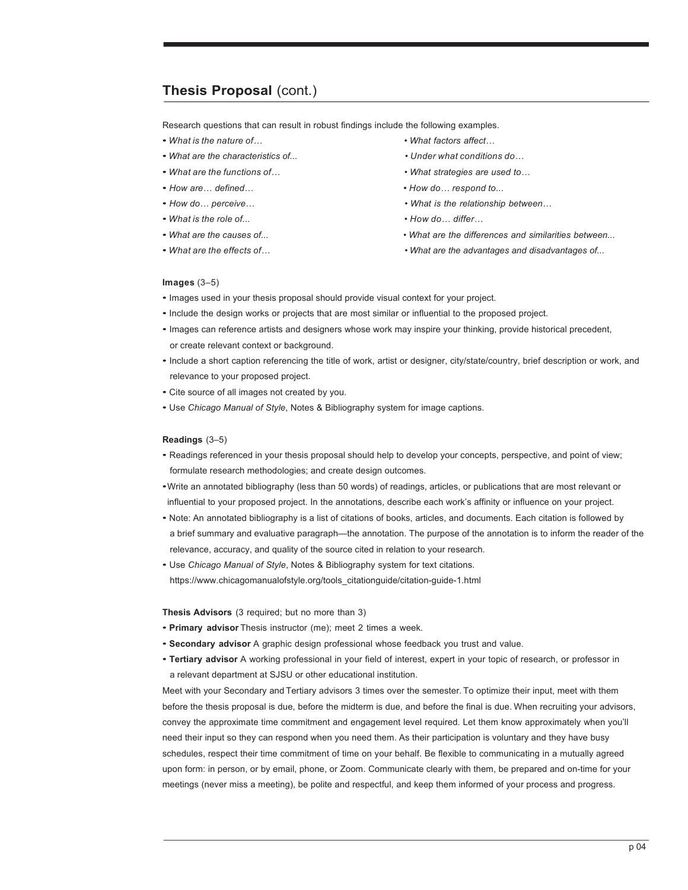# **Thesis Proposal** (cont.)

Research questions that can result in robust findings include the following examples.

- *• What is the nature of… • What factors affect…*
- *• What are the characteristics of... • Under what conditions do…*
- 
- 
- 
- *• What is the role of... • How do… differ…*
- 
- 
- 
- 
- *• What are the functions of… • What strategies are used to…*
- *• How are… defined… • How do… respond to...*
- *• How do… perceive… • What is the relationship between…*
	-
- *• What are the causes of... • What are the differences and similarities between...*
- *• What are the effects of… • What are the advantages and disadvantages of...*

#### **Images** (3–5)

- Images used in your thesis proposal should provide visual context for your project.
- Include the design works or projects that are most similar or influential to the proposed project.
- Images can reference artists and designers whose work may inspire your thinking, provide historical precedent, or create relevant context or background.
- Include a short caption referencing the title of work, artist or designer, city/state/country, brief description or work, and relevance to your proposed project.
- Cite source of all images not created by you.
- Use *Chicago Manual of Style*, Notes & Bibliography system for image captions.

#### **Readings** (3–5)

- Readings referenced in your thesis proposal should help to develop your concepts, perspective, and point of view; formulate research methodologies; and create design outcomes.
- •Write an annotated bibliography (less than 50 words) of readings, articles, or publications that are most relevant or influential to your proposed project. In the annotations, describe each work's affinity or influence on your project.
- Note: An annotated bibliography is a list of citations of books, articles, and documents. Each citation is followed by a brief summary and evaluative paragraph—the annotation. The purpose of the annotation is to inform the reader of the relevance, accuracy, and quality of the source cited in relation to your research.
- Use *Chicago Manual of Style*, Notes & Bibliography system for text citations. https://www.chicagomanualofstyle.org/tools\_citationguide/citation-guide-1.html

**Thesis Advisors** (3 required; but no more than 3)

- **Primary advisor** Thesis instructor (me); meet 2 times a week.
- **Secondary advisor** A graphic design professional whose feedback you trust and value.
- **Tertiary advisor** A working professional in your field of interest, expert in your topic of research, or professor in a relevant department at SJSU or other educational institution.

Meet with your Secondary and Tertiary advisors 3 times over the semester. To optimize their input, meet with them before the thesis proposal is due, before the midterm is due, and before the final is due. When recruiting your advisors, convey the approximate time commitment and engagement level required. Let them know approximately when you'll need their input so they can respond when you need them. As their participation is voluntary and they have busy schedules, respect their time commitment of time on your behalf. Be flexible to communicating in a mutually agreed upon form: in person, or by email, phone, or Zoom. Communicate clearly with them, be prepared and on-time for your meetings (never miss a meeting), be polite and respectful, and keep them informed of your process and progress.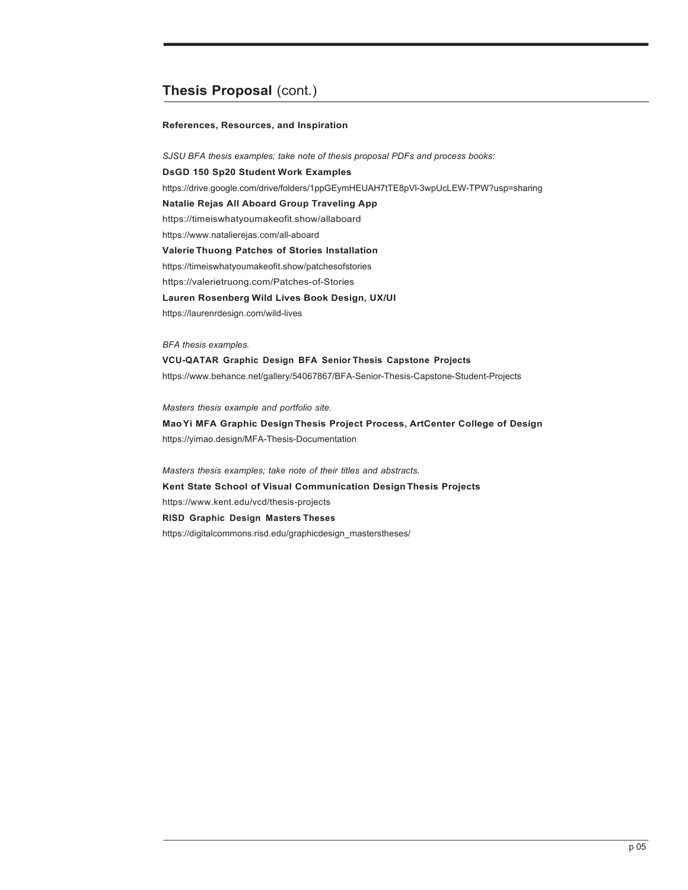# **Thesis Proposal** (cont.)

#### **References, Resources, and Inspiration**

*SJSU BFA thesis examples; take note of thesis proposal PDFs and process books:* **DsGD 150 Sp20 Student Work Examples** https://drive.google.com/drive/folders/1ppGEymHEUAH7tTE8pVl-3wpUcLEW-TPW?usp=sharing **Natalie Rejas All Aboard Group Traveling App** https://timeiswhatyoumakeofit.show/allaboard https://www.natalierejas.com/all-aboard **Valerie Thuong Patches of Stories Installation** https://timeiswhatyoumakeofit.show/patchesofstories https://valerietruong.com/Patches-of-Stories **Lauren Rosenberg Wild Lives Book Design, UX/UI** https://laurenrdesign.com/wild-lives

*BFA thesis examples.*

**VCU-QATAR Graphic Design BFA Senior Thesis Capstone Projects** https://www.behance.net/gallery/54067867/BFA-Senior-Thesis-Capstone-Student-Projects

*Masters thesis example and portfolio site.* **MaoYi MFA Graphic Design Thesis Project Process, ArtCenter College of Design** https://yimao.design/MFA-Thesis-Documentation

*Masters thesis examples; take note of their titles and abstracts.* **Kent State School of Visual Communication Design Thesis Projects** https://www.kent.edu/vcd/thesis-projects **RISD Graphic Design Masters Theses** https://digitalcommons.risd.edu/graphicdesign\_masterstheses/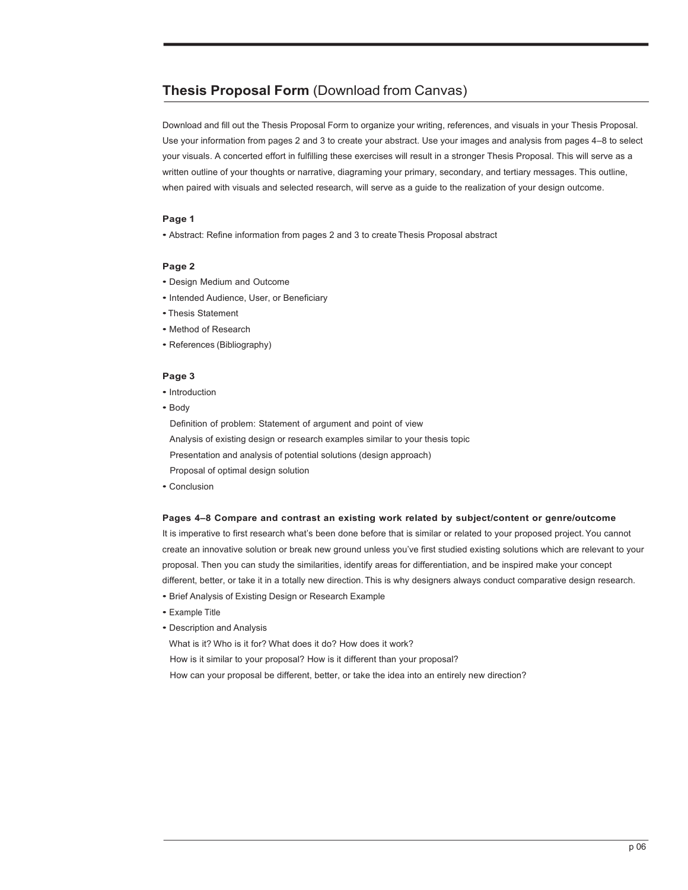# **Thesis Proposal Form** (Download from Canvas)

Download and fill out the Thesis Proposal Form to organize your writing, references, and visuals in your Thesis Proposal. Use your information from pages 2 and 3 to create your abstract. Use your images and analysis from pages 4–8 to select your visuals. A concerted effort in fulfilling these exercises will result in a stronger Thesis Proposal. This will serve as a written outline of your thoughts or narrative, diagraming your primary, secondary, and tertiary messages. This outline, when paired with visuals and selected research, will serve as a guide to the realization of your design outcome.

# **Page 1**

• Abstract: Refine information from pages 2 and 3 to create Thesis Proposal abstract

# **Page 2**

- Design Medium and Outcome
- Intended Audience, User, or Beneficiary
- •Thesis Statement
- Method of Research
- References (Bibliography)

# **Page 3**

- Introduction
- Body

Definition of problem: Statement of argument and point of view Analysis of existing design or research examples similar to your thesis topic Presentation and analysis of potential solutions (design approach) Proposal of optimal design solution

• Conclusion

### **Pages 4–8 Compare and contrast an existing work related by subject/content or genre/outcome**

It is imperative to first research what's been done before that is similar or related to your proposed project. You cannot create an innovative solution or break new ground unless you've first studied existing solutions which are relevant to your proposal. Then you can study the similarities, identify areas for differentiation, and be inspired make your concept different, better, or take it in a totally new direction. This is why designers always conduct comparative design research.

- Brief Analysis of Existing Design or Research Example
- Example Title
- Description and Analysis

What is it? Who is it for? What does it do? How does it work?

How is it similar to your proposal? How is it different than your proposal?

How can your proposal be different, better, or take the idea into an entirely new direction?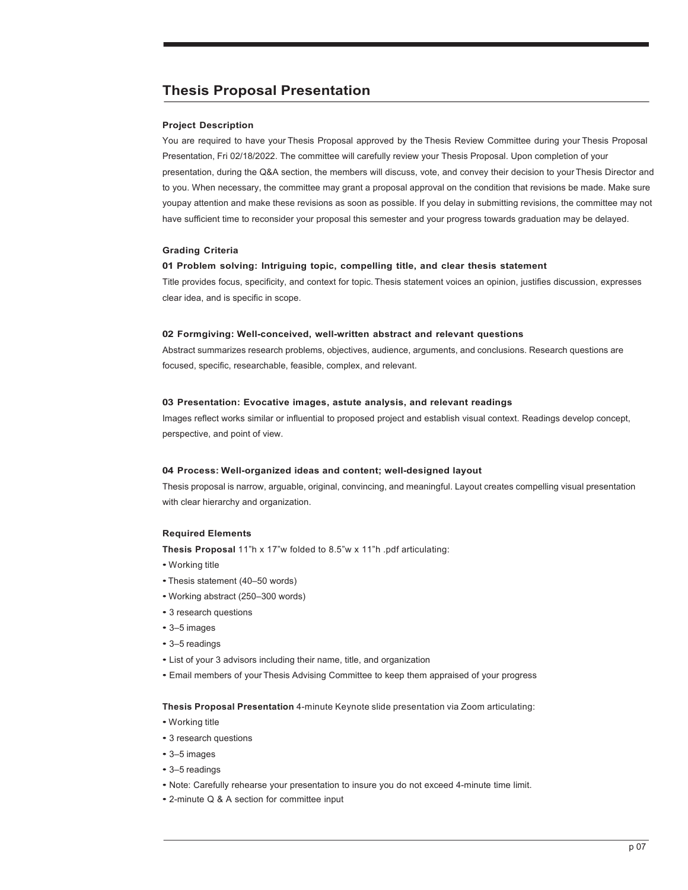# **Thesis Proposal Presentation**

#### **Project Description**

You are required to have your Thesis Proposal approved by the Thesis Review Committee during your Thesis Proposal Presentation, Fri 02/18/2022. The committee will carefully review your Thesis Proposal. Upon completion of your presentation, during the Q&A section, the members will discuss, vote, and convey their decision to your Thesis Director and to you. When necessary, the committee may grant a proposal approval on the condition that revisions be made. Make sure youpay attention and make these revisions as soon as possible. If you delay in submitting revisions, the committee may not have sufficient time to reconsider your proposal this semester and your progress towards graduation may be delayed.

#### **Grading Criteria**

#### **01 Problem solving: Intriguing topic, compelling title, and clear thesis statement**

Title provides focus, specificity, and context for topic. Thesis statement voices an opinion, justifies discussion, expresses clear idea, and is specific in scope.

#### **02 Formgiving: Well-conceived, well-written abstract and relevant questions**

Abstract summarizes research problems, objectives, audience, arguments, and conclusions. Research questions are focused, specific, researchable, feasible, complex, and relevant.

#### **03 Presentation: Evocative images, astute analysis, and relevant readings**

Images reflect works similar or influential to proposed project and establish visual context. Readings develop concept, perspective, and point of view.

#### **04 Process: Well-organized ideas and content; well-designed layout**

Thesis proposal is narrow, arguable, original, convincing, and meaningful. Layout creates compelling visual presentation with clear hierarchy and organization.

#### **Required Elements**

**Thesis Proposal** 11"h x 17"w folded to 8.5"w x 11"h .pdf articulating:

- Working title
- •Thesis statement (40–50 words)
- Working abstract (250–300 words)
- 3 research questions
- 3–5 images
- 3–5 readings
- List of your 3 advisors including their name, title, and organization
- Email members of your Thesis Advising Committee to keep them appraised of your progress

**Thesis Proposal Presentation** 4-minute Keynote slide presentation via Zoom articulating:

- Working title
- 3 research questions
- 3–5 images
- 3–5 readings
- Note: Carefully rehearse your presentation to insure you do not exceed 4-minute time limit.
- 2-minute Q & A section for committee input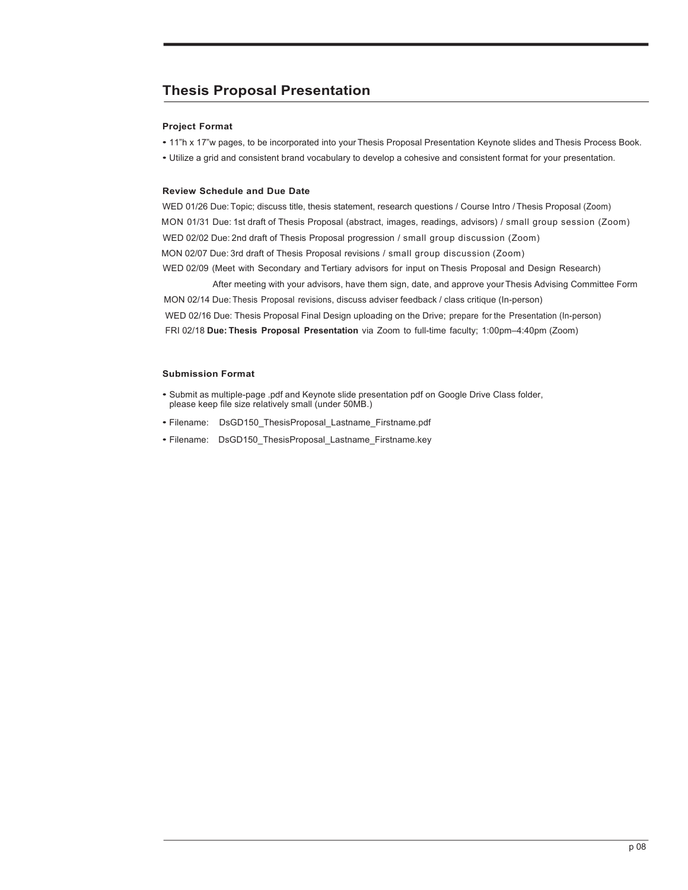# **Thesis Proposal Presentation**

# **Project Format**

• 11"h x 17"w pages, to be incorporated into your Thesis Proposal Presentation Keynote slides and Thesis Process Book.

• Utilize a grid and consistent brand vocabulary to develop a cohesive and consistent format for your presentation.

### **Review Schedule and Due Date**

WED 01/26 Due: Topic; discuss title, thesis statement, research questions / Course Intro / Thesis Proposal (Zoom) MON 01/31 Due: 1st draft of Thesis Proposal (abstract, images, readings, advisors) / small group session (Zoom) WED 02/02 Due: 2nd draft of Thesis Proposal progression / small group discussion (Zoom) MON 02/07 Due: 3rd draft of Thesis Proposal revisions / small group discussion (Zoom) WED 02/09 (Meet with Secondary and Tertiary advisors for input on Thesis Proposal and Design Research)

After meeting with your advisors, have them sign, date, and approve your Thesis Advising Committee Form MON 02/14 Due: Thesis Proposal revisions, discuss adviser feedback / class critique (In-person) WED 02/16 Due: Thesis Proposal Final Design uploading on the Drive; prepare for the Presentation (In-person) FRI 02/18 **Due: Thesis Proposal Presentation** via Zoom to full-time faculty; 1:00pm–4:40pm (Zoom)

- Submit as multiple-page .pdf and Keynote slide presentation pdf on Google Drive Class folder, please keep file size relatively small (under 50MB.)
- Filename: DsGD150\_ThesisProposal\_Lastname\_Firstname.pdf
- Filename: DsGD150\_ThesisProposal\_Lastname\_Firstname.key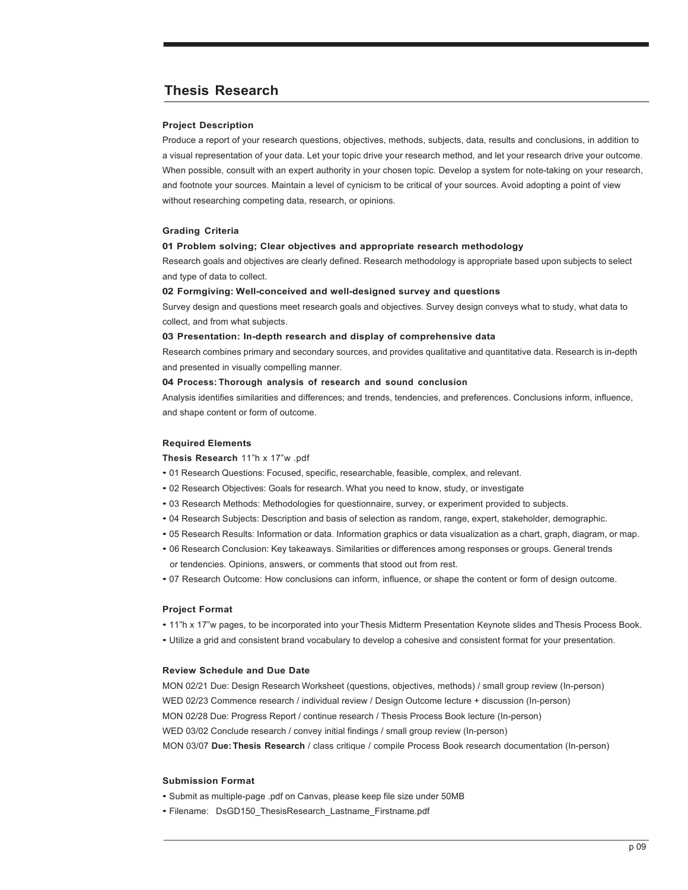# **Thesis Research**

#### **Project Description**

Produce a report of your research questions, objectives, methods, subjects, data, results and conclusions, in addition to a visual representation of your data. Let your topic drive your research method, and let your research drive your outcome. When possible, consult with an expert authority in your chosen topic. Develop a system for note-taking on your research, and footnote your sources. Maintain a level of cynicism to be critical of your sources. Avoid adopting a point of view without researching competing data, research, or opinions.

#### **Grading Criteria**

#### **01 Problem solving; Clear objectives and appropriate research methodology**

Research goals and objectives are clearly defined. Research methodology is appropriate based upon subjects to select and type of data to collect.

#### **02 Formgiving: Well-conceived and well-designed survey and questions**

Survey design and questions meet research goals and objectives. Survey design conveys what to study, what data to collect, and from what subjects.

#### **03 Presentation: In-depth research and display of comprehensive data**

Research combines primary and secondary sources, and provides qualitative and quantitative data. Research is in-depth and presented in visually compelling manner.

#### **04 Process: Thorough analysis of research and sound conclusion**

Analysis identifies similarities and differences; and trends, tendencies, and preferences. Conclusions inform, influence, and shape content or form of outcome.

#### **Required Elements**

**Thesis Research** 11"h x 17"w .pdf

- 01 Research Questions: Focused, specific, researchable, feasible, complex, and relevant.
- 02 Research Objectives: Goals for research. What you need to know, study, or investigate
- 03 Research Methods: Methodologies for questionnaire, survey, or experiment provided to subjects.
- 04 Research Subjects: Description and basis of selection as random, range, expert, stakeholder, demographic.
- 05 Research Results: Information or data. Information graphics or data visualization as a chart, graph, diagram, or map.
- 06 Research Conclusion: Key takeaways. Similarities or differences among responses or groups. General trends or tendencies. Opinions, answers, or comments that stood out from rest.
- 07 Research Outcome: How conclusions can inform, influence, or shape the content or form of design outcome.

#### **Project Format**

- 11"h x 17"w pages, to be incorporated into your Thesis Midterm Presentation Keynote slides and Thesis Process Book.
- Utilize a grid and consistent brand vocabulary to develop a cohesive and consistent format for your presentation.

#### **Review Schedule and Due Date**

MON 02/21 Due: Design Research Worksheet (questions, objectives, methods) / small group review (In-person) WED 02/23 Commence research / individual review / Design Outcome lecture + discussion (In-person) MON 02/28 Due: Progress Report / continue research / Thesis Process Book lecture (In-person) WED 03/02 Conclude research / convey initial findings / small group review (In-person) MON 03/07 **Due:Thesis Research** / class critique / compile Process Book research documentation (In-person)

- Submit as multiple-page .pdf on Canvas, please keep file size under 50MB
- Filename: DsGD150\_ThesisResearch\_Lastname\_Firstname.pdf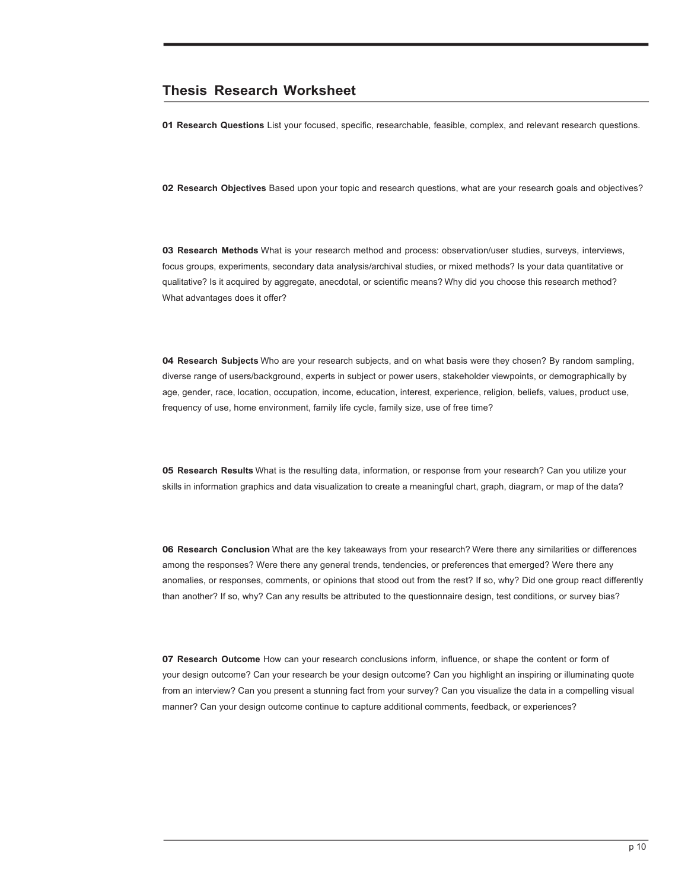# **Thesis Research Worksheet**

**01 Research Questions** List your focused, specific, researchable, feasible, complex, and relevant research questions.

**02 Research Objectives** Based upon your topic and research questions, what are your research goals and objectives?

**03 Research Methods** What is your research method and process: observation/user studies, surveys, interviews, focus groups, experiments, secondary data analysis/archival studies, or mixed methods? Is your data quantitative or qualitative? Is it acquired by aggregate, anecdotal, or scientific means? Why did you choose this research method? What advantages does it offer?

**04 Research Subjects** Who are your research subjects, and on what basis were they chosen? By random sampling, diverse range of users/background, experts in subject or power users, stakeholder viewpoints, or demographically by age, gender, race, location, occupation, income, education, interest, experience, religion, beliefs, values, product use, frequency of use, home environment, family life cycle, family size, use of free time?

**05 Research Results** What is the resulting data, information, or response from your research? Can you utilize your skills in information graphics and data visualization to create a meaningful chart, graph, diagram, or map of the data?

**06 Research Conclusion** What are the key takeaways from your research? Were there any similarities or differences among the responses? Were there any general trends, tendencies, or preferences that emerged? Were there any anomalies, or responses, comments, or opinions that stood out from the rest? If so, why? Did one group react differently than another? If so, why? Can any results be attributed to the questionnaire design, test conditions, or survey bias?

**07 Research Outcome** How can your research conclusions inform, influence, or shape the content or form of your design outcome? Can your research be your design outcome? Can you highlight an inspiring or illuminating quote from an interview? Can you present a stunning fact from your survey? Can you visualize the data in a compelling visual manner? Can your design outcome continue to capture additional comments, feedback, or experiences?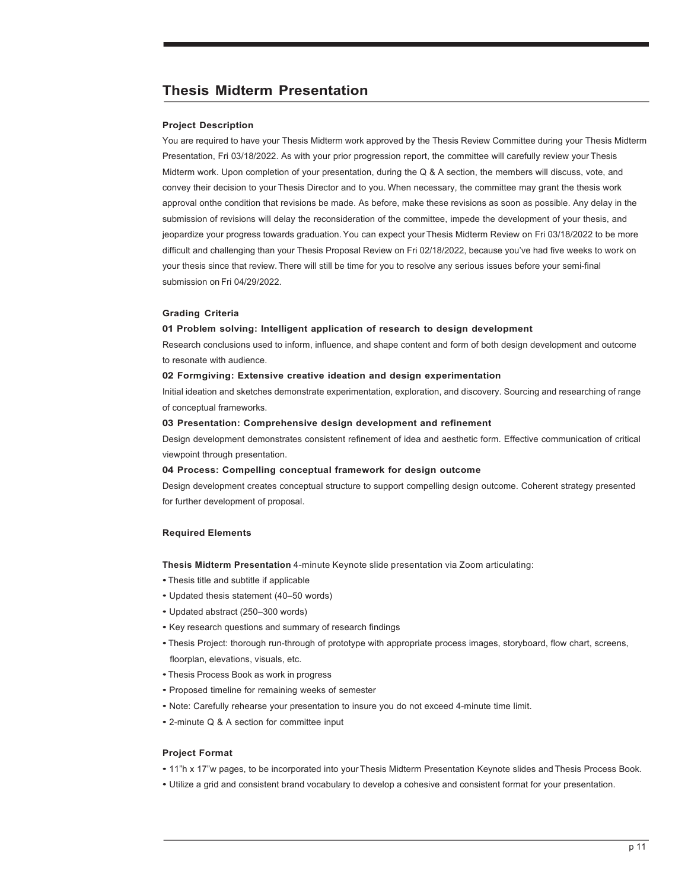# **Thesis Midterm Presentation**

#### **Project Description**

You are required to have your Thesis Midterm work approved by the Thesis Review Committee during your Thesis Midterm Presentation, Fri 03/18/2022. As with your prior progression report, the committee will carefully review your Thesis Midterm work. Upon completion of your presentation, during the Q & A section, the members will discuss, vote, and convey their decision to your Thesis Director and to you. When necessary, the committee may grant the thesis work approval onthe condition that revisions be made. As before, make these revisions as soon as possible. Any delay in the submission of revisions will delay the reconsideration of the committee, impede the development of your thesis, and jeopardize your progress towards graduation. You can expect your Thesis Midterm Review on Fri 03/18/2022 to be more difficult and challenging than your Thesis Proposal Review on Fri 02/18/2022, because you've had five weeks to work on your thesis since that review.There will still be time for you to resolve any serious issues before your semi-final submission on Fri 04/29/2022.

#### **Grading Criteria**

#### **01 Problem solving: Intelligent application of research to design development**

Research conclusions used to inform, influence, and shape content and form of both design development and outcome to resonate with audience.

#### **02 Formgiving: Extensive creative ideation and design experimentation**

Initial ideation and sketches demonstrate experimentation, exploration, and discovery. Sourcing and researching of range of conceptual frameworks.

#### **03 Presentation: Comprehensive design development and refinement**

Design development demonstrates consistent refinement of idea and aesthetic form. Effective communication of critical viewpoint through presentation.

#### **04 Process: Compelling conceptual framework for design outcome**

Design development creates conceptual structure to support compelling design outcome. Coherent strategy presented for further development of proposal.

#### **Required Elements**

**Thesis Midterm Presentation** 4-minute Keynote slide presentation via Zoom articulating:

- •Thesis title and subtitle if applicable
- Updated thesis statement (40–50 words)
- Updated abstract (250–300 words)
- Key research questions and summary of research findings
- Thesis Project: thorough run-through of prototype with appropriate process images, storyboard, flow chart, screens, floorplan, elevations, visuals, etc.
- •Thesis Process Book as work in progress
- Proposed timeline for remaining weeks of semester
- Note: Carefully rehearse your presentation to insure you do not exceed 4-minute time limit.
- 2-minute Q & A section for committee input

#### **Project Format**

- 11"h x 17"w pages, to be incorporated into your Thesis Midterm Presentation Keynote slides and Thesis Process Book.
- Utilize a grid and consistent brand vocabulary to develop a cohesive and consistent format for your presentation.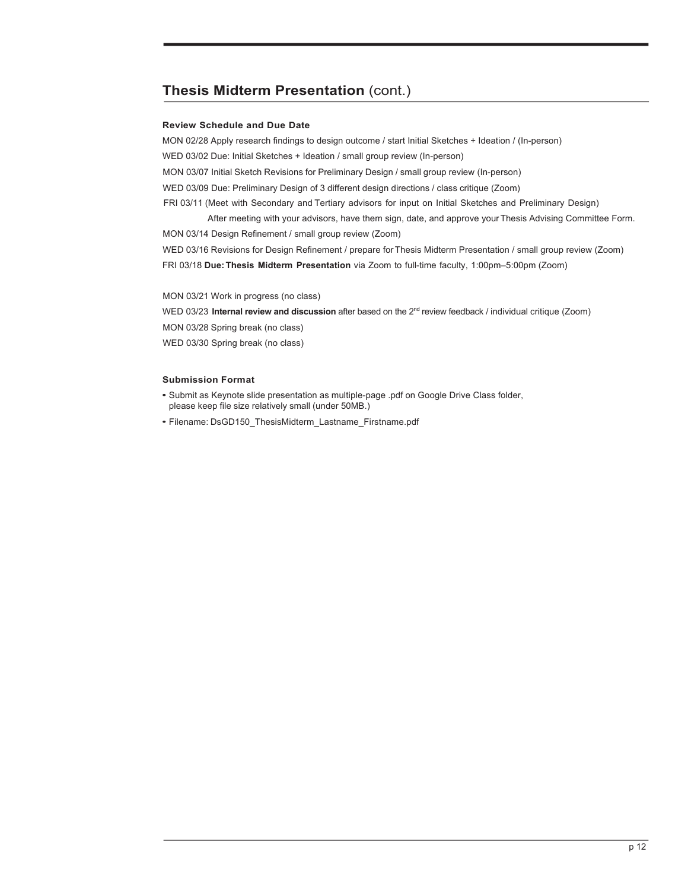# **Thesis Midterm Presentation** (cont.)

# **Review Schedule and Due Date**

MON 02/28 Apply research findings to design outcome / start Initial Sketches + Ideation / (In-person) WED 03/02 Due: Initial Sketches + Ideation / small group review (In-person) MON 03/07 Initial Sketch Revisions for Preliminary Design / small group review (In-person) WED 03/09 Due: Preliminary Design of 3 different design directions / class critique (Zoom) FRI 03/11 (Meet with Secondary and Tertiary advisors for input on Initial Sketches and Preliminary Design)

 After meeting with your advisors, have them sign, date, and approve your Thesis Advising Committee Form. MON 03/14 Design Refinement / small group review (Zoom) WED 03/16 Revisions for Design Refinement / prepare for Thesis Midterm Presentation / small group review (Zoom)

FRI 03/18 **Due: Thesis Midterm Presentation** via Zoom to full-time faculty, 1:00pm–5:00pm (Zoom)

MON 03/21 Work in progress (no class)

WED 03/23 **Internal review and discussion** after based on the 2<sup>nd</sup> review feedback / individual critique (Zoom)

MON 03/28 Spring break (no class)

WED 03/30 Spring break (no class)

- Submit as Keynote slide presentation as multiple-page .pdf on Google Drive Class folder, please keep file size relatively small (under 50MB.)
- Filename: DsGD150\_ThesisMidterm\_Lastname\_Firstname.pdf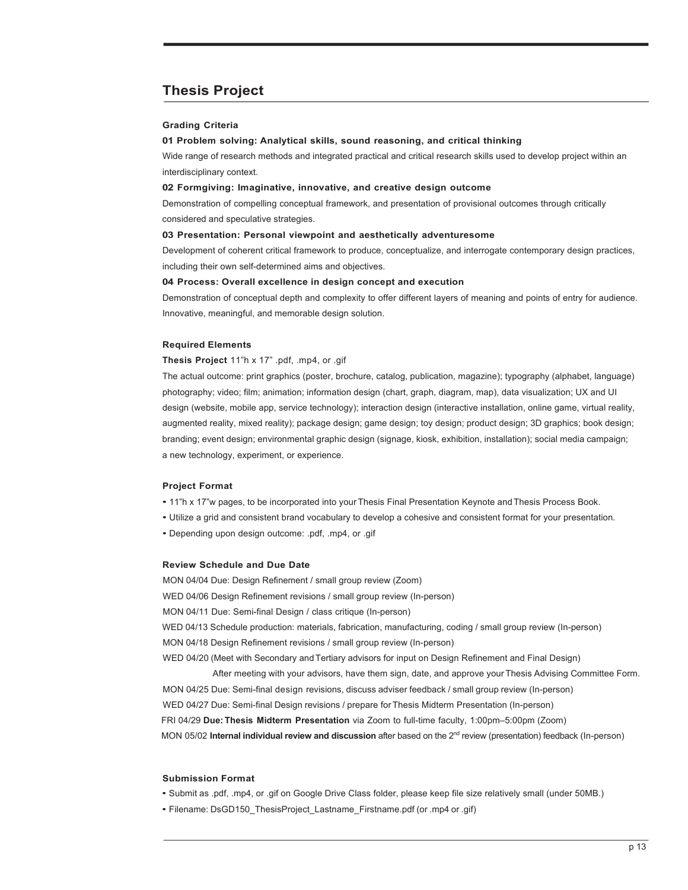# **Thesis Project**

#### **Grading Criteria**

#### **01 Problem solving: Analytical skills, sound reasoning, and critical thinking**

Wide range of research methods and integrated practical and critical research skills used to develop project within an interdisciplinary context.

#### **02 Formgiving: Imaginative, innovative, and creative design outcome**

Demonstration of compelling conceptual framework, and presentation of provisional outcomes through critically considered and speculative strategies.

#### **03 Presentation: Personal viewpoint and aesthetically adventuresome**

Development of coherent critical framework to produce, conceptualize, and interrogate contemporary design practices, including their own self-determined aims and objectives.

#### **04 Process: Overall excellence in design concept and execution**

Demonstration of conceptual depth and complexity to offer different layers of meaning and points of entry for audience. Innovative, meaningful, and memorable design solution.

#### **Required Elements**

#### **Thesis Project** 11"h x 17" .pdf, .mp4, or .gif

The actual outcome: print graphics (poster, brochure, catalog, publication, magazine); typography (alphabet, language) photography; video; film; animation; information design (chart, graph, diagram, map), data visualization; UX and UI design (website, mobile app, service technology); interaction design (interactive installation, online game, virtual reality, augmented reality, mixed reality); package design; game design; toy design; product design; 3D graphics; book design; branding; event design; environmental graphic design (signage, kiosk, exhibition, installation); social media campaign; a new technology, experiment, or experience.

### **Project Format**

- 11"h x 17"w pages, to be incorporated into your Thesis Final Presentation Keynote and Thesis Process Book.
- Utilize a grid and consistent brand vocabulary to develop a cohesive and consistent format for your presentation.
- Depending upon design outcome: .pdf, .mp4, or .gif

#### **Review Schedule and Due Date**

MON 04/04 Due: Design Refinement / small group review (Zoom) WED 04/06 Design Refinement revisions / small group review (In-person)

MON 04/11 Due: Semi-final Design / class critique (In-person)

WED 04/13 Schedule production: materials, fabrication, manufacturing, coding / small group review (In-person)

MON 04/18 Design Refinement revisions / small group review (In-person)

WED 04/20 (Meet with Secondary and Tertiary advisors for input on Design Refinement and Final Design)

After meeting with your advisors, have them sign, date, and approve your Thesis Advising Committee Form. MON 04/25 Due: Semi-final design revisions, discuss adviser feedback / small group review (In-person) WED 04/27 Due: Semi-final Design revisions / prepare for Thesis Midterm Presentation (In-person) FRI 04/29 **Due: Thesis Midterm Presentation** via Zoom to full-time faculty, 1:00pm–5:00pm (Zoom) MON 05/02 **Internal individual review and discussion** after based on the 2nd review (presentation) feedback (In-person)

- Submit as .pdf, .mp4, or .gif on Google Drive Class folder, please keep file size relatively small (under 50MB.)
- Filename: DsGD150\_ThesisProject\_Lastname\_Firstname.pdf (or .mp4 or .gif)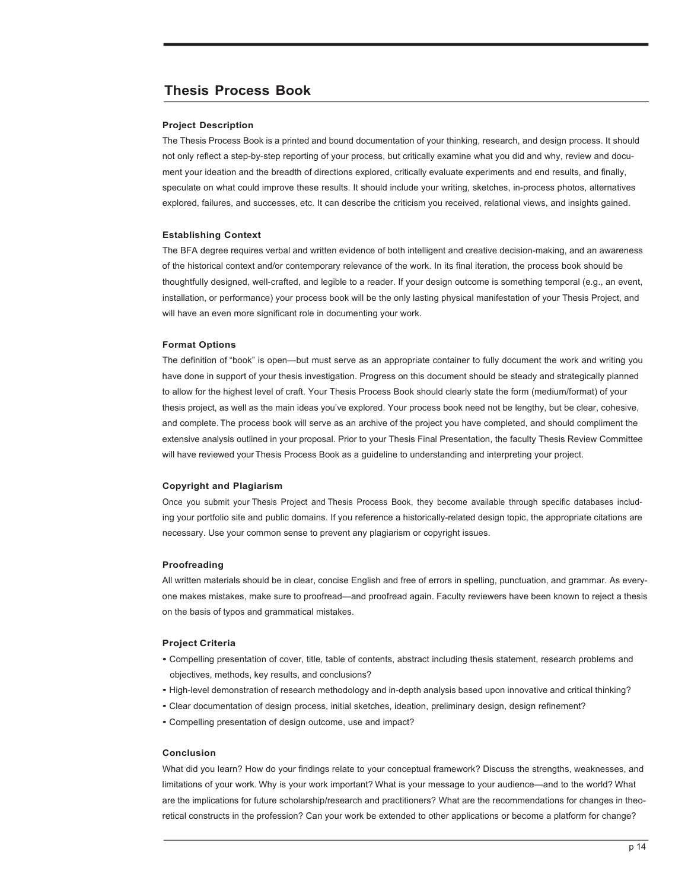# **Thesis Process Book**

#### **Project Description**

The Thesis Process Book is a printed and bound documentation of your thinking, research, and design process. It should not only reflect a step-by-step reporting of your process, but critically examine what you did and why, review and document your ideation and the breadth of directions explored, critically evaluate experiments and end results, and finally, speculate on what could improve these results. It should include your writing, sketches, in-process photos, alternatives explored, failures, and successes, etc. It can describe the criticism you received, relational views, and insights gained.

#### **Establishing Context**

The BFA degree requires verbal and written evidence of both intelligent and creative decision-making, and an awareness of the historical context and/or contemporary relevance of the work. In its final iteration, the process book should be thoughtfully designed, well-crafted, and legible to a reader. If your design outcome is something temporal (e.g., an event, installation, or performance) your process book will be the only lasting physical manifestation of your Thesis Project, and will have an even more significant role in documenting your work.

#### **Format Options**

The definition of "book" is open—but must serve as an appropriate container to fully document the work and writing you have done in support of your thesis investigation. Progress on this document should be steady and strategically planned to allow for the highest level of craft. Your Thesis Process Book should clearly state the form (medium/format) of your thesis project, as well as the main ideas you've explored. Your process book need not be lengthy, but be clear, cohesive, and complete. The process book will serve as an archive of the project you have completed, and should compliment the extensive analysis outlined in your proposal. Prior to your Thesis Final Presentation, the faculty Thesis Review Committee will have reviewed your Thesis Process Book as a guideline to understanding and interpreting your project.

#### **Copyright and Plagiarism**

Once you submit your Thesis Project and Thesis Process Book, they become available through specific databases including your portfolio site and public domains. If you reference a historically-related design topic, the appropriate citations are necessary. Use your common sense to prevent any plagiarism or copyright issues.

#### **Proofreading**

All written materials should be in clear, concise English and free of errors in spelling, punctuation, and grammar. As everyone makes mistakes, make sure to proofread—and proofread again. Faculty reviewers have been known to reject a thesis on the basis of typos and grammatical mistakes.

#### **Project Criteria**

- Compelling presentation of cover, title, table of contents, abstract including thesis statement, research problems and objectives, methods, key results, and conclusions?
- High-level demonstration of research methodology and in-depth analysis based upon innovative and critical thinking?
- Clear documentation of design process, initial sketches, ideation, preliminary design, design refinement?
- Compelling presentation of design outcome, use and impact?

#### **Conclusion**

What did you learn? How do your findings relate to your conceptual framework? Discuss the strengths, weaknesses, and limitations of your work. Why is your work important? What is your message to your audience—and to the world? What are the implications for future scholarship/research and practitioners? What are the recommendations for changes in theoretical constructs in the profession? Can your work be extended to other applications or become a platform for change?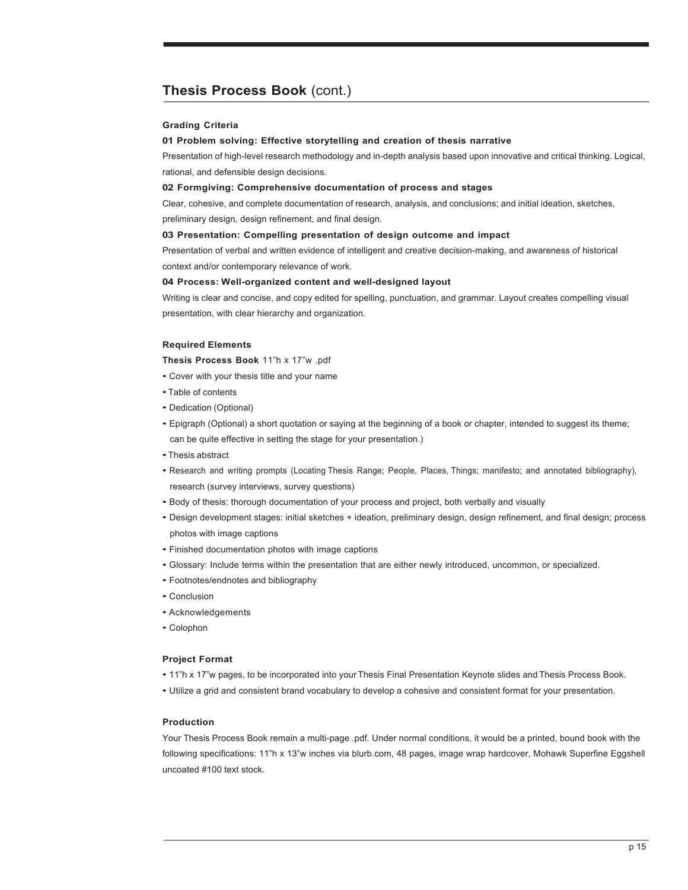# **Thesis Process Book** (cont.)

#### **Grading Criteria**

#### **01 Problem solving: Effective storytelling and creation of thesis narrative**

Presentation of high-level research methodology and in-depth analysis based upon innovative and critical thinking. Logical, rational, and defensible design decisions.

#### **02 Formgiving: Comprehensive documentation of process and stages**

Clear, cohesive, and complete documentation of research, analysis, and conclusions; and initial ideation, sketches,

preliminary design, design refinement, and final design.

### **03 Presentation: Compelling presentation of design outcome and impact**

Presentation of verbal and written evidence of intelligent and creative decision-making, and awareness of historical context and/or contemporary relevance of work.

#### **04 Process: Well-organized content and well-designed layout**

Writing is clear and concise, and copy edited for spelling, punctuation, and grammar. Layout creates compelling visual presentation, with clear hierarchy and organization.

### **Required Elements**

**Thesis Process Book** 11"h x 17"w .pdf

- Cover with your thesis title and your name
- •Table of contents
- Dedication (Optional)
- Epigraph (Optional) a short quotation or saying at the beginning of a book or chapter, intended to suggest its theme; can be quite effective in setting the stage for your presentation.)
- •Thesis abstract
- Research and writing prompts (Locating Thesis Range; People, Places, Things; manifesto; and annotated bibliography), research (survey interviews, survey questions)
- Body of thesis: thorough documentation of your process and project, both verbally and visually
- Design development stages: initial sketches + ideation, preliminary design, design refinement, and final design; process photos with image captions
- Finished documentation photos with image captions
- Glossary: Include terms within the presentation that are either newly introduced, uncommon, or specialized.
- Footnotes/endnotes and bibliography
- Conclusion
- Acknowledgements
- Colophon

#### **Project Format**

- 11"h x 17"w pages, to be incorporated into your Thesis Final Presentation Keynote slides and Thesis Process Book.
- Utilize a grid and consistent brand vocabulary to develop a cohesive and consistent format for your presentation.

#### **Production**

Your Thesis Process Book remain a multi-page .pdf. Under normal conditions, it would be a printed, bound book with the following specifications: 11"h x 13"w inches via blurb.com, 48 pages, image wrap hardcover, Mohawk Superfine Eggshell uncoated #100 text stock.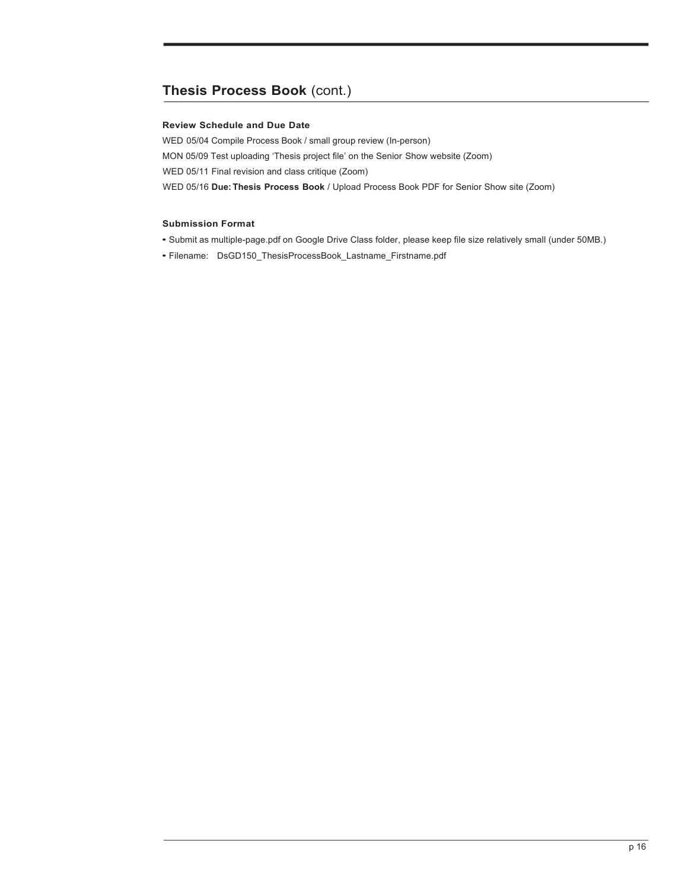# **Thesis Process Book** (cont.)

# **Review Schedule and Due Date**

WED 05/04 Compile Process Book / small group review (In-person) MON 05/09 Test uploading 'Thesis project file' on the Senior Show website (Zoom) WED 05/11 Final revision and class critique (Zoom) WED 05/16 **Due:Thesis Process Book** / Upload Process Book PDF for Senior Show site (Zoom)

- Submit as multiple-page.pdf on Google Drive Class folder, please keep file size relatively small (under 50MB.)
- Filename: DsGD150\_ThesisProcessBook\_Lastname\_Firstname.pdf